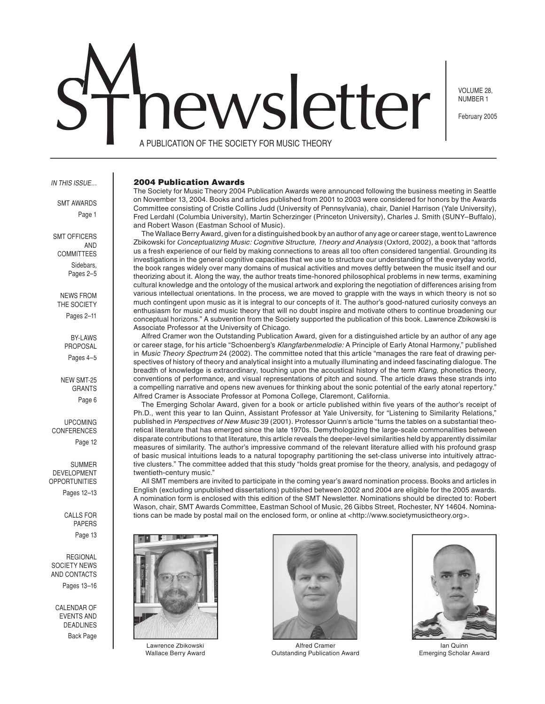# SThewsletter

VOLUME 28, NUMBER 1

February 2005

A PUBLICATION OF THE SOCIETY FOR MUSIC THEORY

## IN THIS ISSUE…

SMT AWARDS Page 1

SMT OFFICERS AND COMMITTEES Sidebars, Pages 2–5

NEWS FROM THE SOCIETY Pages 2–11

> **BY-LAWS** PROPOSAL Pages 4–5

NEW SMT-25 GRANTS Page 6

UPCOMING CONFERENCES

Page 12

SUMMER DEVELOPMENT OPPORTUNITIES

Pages 12–13

CALLS FOR PAPERS Page 13

REGIONAL SOCIETY NEWS AND CONTACTS

Pages 13–16

CALENDAR OF EVENTS AND DEADLINES Back Page

#### 2004 Publication Awards

The Society for Music Theory 2004 Publication Awards were announced following the business meeting in Seattle on November 13, 2004. Books and articles published from 2001 to 2003 were considered for honors by the Awards Committee consisting of Cristle Collins Judd (University of Pennsylvania), chair, Daniel Harrison (Yale University), Fred Lerdahl (Columbia University), Martin Scherzinger (Princeton University), Charles J. Smith (SUNY–Buffalo), and Robert Wason (Eastman School of Music).

 The Wallace Berry Award, given for a distinguished book by an author of any age or career stage, went to Lawrence Zbikowski for Conceptualizing Music: Cognitive Structure, Theory and Analysis (Oxford, 2002), a book that "affords us a fresh experience of our field by making connections to areas all too often considered tangential. Grounding its investigations in the general cognitive capacities that we use to structure our understanding of the everyday world, the book ranges widely over many domains of musical activities and moves deftly between the music itself and our theorizing about it. Along the way, the author treats time-honored philosophical problems in new terms, examining cultural knowledge and the ontology of the musical artwork and exploring the negotiation of differences arising from various intellectual orientations. In the process, we are moved to grapple with the ways in which theory is not so much contingent upon music as it is integral to our concepts of it. The author's good-natured curiosity conveys an enthusiasm for music and music theory that will no doubt inspire and motivate others to continue broadening our conceptual horizons." A subvention from the Society supported the publication of this book. Lawrence Zbikowski is Associate Professor at the University of Chicago.

 Alfred Cramer won the Outstanding Publication Award, given for a distinguished article by an author of any age or career stage, for his article "Schoenberg's Klangfarbenmelodie: A Principle of Early Atonal Harmony," published in Music Theory Spectrum 24 (2002). The committee noted that this article "manages the rare feat of drawing perspectives of history of theory and analytical insight into a mutually illuminating and indeed fascinating dialogue. The breadth of knowledge is extraordinary, touching upon the acoustical history of the term Klang, phonetics theory, conventions of performance, and visual representations of pitch and sound. The article draws these strands into a compelling narrative and opens new avenues for thinking about the sonic potential of the early atonal repertory." Alfred Cramer is Associate Professor at Pomona College, Claremont, California.

The Emerging Scholar Award, given for a book or article published within five years of the author's receipt of Ph.D., went this year to Ian Quinn, Assistant Professor at Yale University, for "Listening to Similarity Relations," published in Perspectives of New Musid 39 (2001). Professor Quinn's article "turns the tables on a substantial theoretical literature that has emerged since the late 1970s. Demythologizing the large-scale commonalities between disparate contributions to that literature, this article reveals the deeper-level similarities held by apparently dissimilar measures of similarity. The author's impressive command of the relevant literature allied with his profound grasp of basic musical intuitions leads to a natural topography partitioning the set-class universe into intuitively attractive clusters." The committee added that this study "holds great promise for the theory, analysis, and pedagogy of twentieth-century music."

 All SMT members are invited to participate in the coming year's award nomination process. Books and articles in English (excluding unpublished dissertations) published between 2002 and 2004 are eligible for the 2005 awards. A nomination form is enclosed with this edition of the SMT Newsletter. Nominations should be directed to: Robert Wason, chair, SMT Awards Committee, Eastman School of Music, 26 Gibbs Street, Rochester, NY 14604. Nominations can be made by postal mail on the enclosed form, or online at <http://www.societymusictheory.org>.



Lawrence Zbikowski Wallace Berry Award



Alfred Cramer Outstanding Publication Award



Ian Quinn Emerging Scholar Award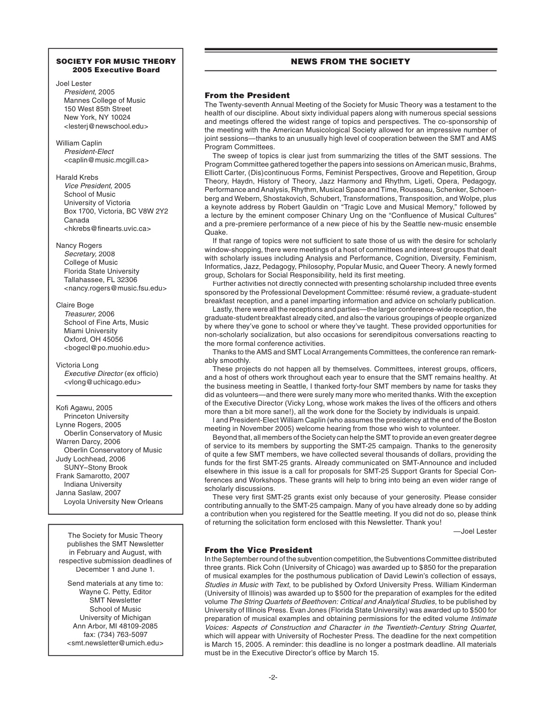## SOCIETY FOR MUSIC THEORY 2005 Executive Board

## Joel Lester President, 2005 Mannes College of Music 150 West 85th Street New York, NY 10024 <lesterj@newschool.edu>

William Caplin President-Elect <caplin@music.mcgill.ca>

## Harald Krebs

Vice President, 2005 School of Music University of Victoria Box 1700, Victoria, BC V8W 2Y2 Canada <hkrebs@finearts.uvic.ca>

## Nancy Rogers

Secretary, 2008 College of Music Florida State University Tallahassee, FL 32306 <nancy.rogers@music.fsu.edu>

# Claire Boge

Treasurer, 2006 School of Fine Arts, Music Miami University Oxford, OH 45056 <bogecl@po.muohio.edu>

Victoria Long Executive Director (ex officio) <vlong@uchicago.edu>

Kofi Agawu, 2005 Princeton University Lynne Rogers, 2005 Oberlin Conservatory of Music Warren Darcy, 2006 Oberlin Conservatory of Music Judy Lochhead, 2006 SUNY–Stony Brook Frank Samarotto, 2007 Indiana University Janna Saslaw, 2007 Loyola University New Orleans

The Society for Music Theory publishes the SMT Newsletter in February and August, with respective submission deadlines of December 1 and June 1.

Send materials at any time to: Wayne C. Petty, Editor SMT Newsletter School of Music University of Michigan Ann Arbor, MI 48109-2085 fax: (734) 763-5097 <smt.newsletter@umich.edu>

# NEWS FROM THE SOCIETY

# From the President

The Twenty-seventh Annual Meeting of the Society for Music Theory was a testament to the health of our discipline. About sixty individual papers along with numerous special sessions and meetings offered the widest range of topics and perspectives. The co-sponsorship of the meeting with the American Musicological Society allowed for an impressive number of joint sessions—thanks to an unusually high level of cooperation between the SMT and AMS Program Committees.

 The sweep of topics is clear just from summarizing the titles of the SMT sessions. The Program Committee gathered together the papers into sessions on American music, Brahms, Elliott Carter, (Dis)continuous Forms, Feminist Perspectives, Groove and Repetition, Group Theory, Haydn, History of Theory, Jazz Harmony and Rhythm, Ligeti, Opera, Pedagogy, Performance and Analysis, Rhythm, Musical Space and Time, Rousseau, Schenker, Schoenberg and Webern, Shostakovich, Schubert, Transformations, Transposition, and Wolpe, plus a keynote address by Robert Gauldin on "Tragic Love and Musical Memory," followed by a lecture by the eminent composer Chinary Ung on the "Confluence of Musical Cultures" and a pre-premiere performance of a new piece of his by the Seattle new-music ensemble Quake.

If that range of topics were not sufficient to sate those of us with the desire for scholarly window-shopping, there were meetings of a host of committees and interest groups that dealt with scholarly issues including Analysis and Performance, Cognition, Diversity, Feminism, Informatics, Jazz, Pedagogy, Philosophy, Popular Music, and Queer Theory. A newly formed group, Scholars for Social Responsibility, held its first meeting.

 Further activities not directly connected with presenting scholarship included three events sponsored by the Professional Development Committee: résumé review, a graduate-student breakfast reception, and a panel imparting information and advice on scholarly publication.

 Lastly, there were all the receptions and parties—the larger conference-wide reception, the graduate-student breakfast already cited, and also the various groupings of people organized by where they've gone to school or where they've taught. These provided opportunities for non-scholarly socialization, but also occasions for serendipitous conversations reacting to the more formal conference activities.

 Thanks to the AMS and SMT Local Arrangements Committees, the conference ran remarkably smoothly.

These projects do not happen all by themselves. Committees, interest groups, officers, and a host of others work throughout each year to ensure that the SMT remains healthy. At the business meeting in Seattle, I thanked forty-four SMT members by name for tasks they did as volunteers—and there were surely many more who merited thanks. With the exception of the Executive Director (Vicky Long, whose work makes the lives of the officers and others more than a bit more sane!), all the work done for the Society by individuals is unpaid.

 I and President-Elect William Caplin (who assumes the presidency at the end of the Boston meeting in November 2005) welcome hearing from those who wish to volunteer.

 Beyond that, all members of the Society can help the SMT to provide an even greater degree of service to its members by supporting the SMT-25 campaign. Thanks to the generosity of quite a few SMT members, we have collected several thousands of dollars, providing the funds for the first SMT-25 grants. Already communicated on SMT-Announce and included elsewhere in this issue is a call for proposals for SMT-25 Support Grants for Special Conferences and Workshops. These grants will help to bring into being an even wider range of scholarly discussions.

These very first SMT-25 grants exist only because of your generosity. Please consider contributing annually to the SMT-25 campaign. Many of you have already done so by adding a contribution when you registered for the Seattle meeting. If you did not do so, please think of returning the solicitation form enclosed with this Newsletter. Thank you!

—Joel Lester

# From the Vice President

In the September round of the subvention competition, the Subventions Committee distributed three grants. Rick Cohn (University of Chicago) was awarded up to \$850 for the preparation of musical examples for the posthumous publication of David Lewin's collection of essays, Studies in Music with Text, to be published by Oxford University Press. William Kinderman (University of Illinois) was awarded up to \$500 for the preparation of examples for the edited volume The String Quartets of Beethoven: Critical and Analytical Studies, to be published by University of Illinois Press. Evan Jones (Florida State University) was awarded up to \$500 for preparation of musical examples and obtaining permissions for the edited volume Intimate Voices: Aspects of Construction and Character in the Twentieth-Century String Quartet, which will appear with University of Rochester Press. The deadline for the next competition is March 15, 2005. A reminder: this deadline is no longer a postmark deadline. All materials must be in the Executive Director's office by March 15.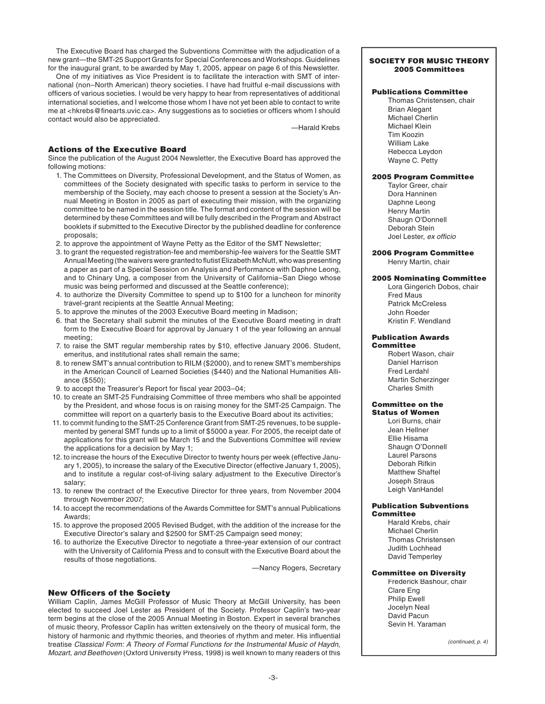The Executive Board has charged the Subventions Committee with the adjudication of a new grant—the SMT-25 Support Grants for Special Conferences and Workshops. Guidelines for the inaugural grant, to be awarded by May 1, 2005, appear on page 6 of this Newsletter.

 One of my initiatives as Vice President is to facilitate the interaction with SMT of international (non–North American) theory societies. I have had fruitful e-mail discussions with officers of various societies. I would be very happy to hear from representatives of additional international societies, and I welcome those whom I have not yet been able to contact to write me at <hkrebs@finearts.uvic.ca>. Any suggestions as to societies or officers whom I should contact would also be appreciated.

—Harald Krebs

## Actions of the Executive Board

Since the publication of the August 2004 Newsletter, the Executive Board has approved the following motions:

- 1. The Committees on Diversity, Professional Development, and the Status of Women, as committees of the Society designated with specific tasks to perform in service to the membership of the Society, may each choose to present a session at the Society's Annual Meeting in Boston in 2005 as part of executing their mission, with the organizing committee to be named in the session title. The format and content of the session will be determined by these Committees and will be fully described in the Program and Abstract booklets if submitted to the Executive Director by the published deadline for conference proposals;
- 2. to approve the appointment of Wayne Petty as the Editor of the SMT Newsletter;
- 3. to grant the requested registration-fee and membership-fee waivers for the Seattle SMT Annual Meeting (the waivers were granted to flutist Elizabeth McNutt, who was presenting a paper as part of a Special Session on Analysis and Performance with Daphne Leong, and to Chinary Ung, a composer from the University of California–San Diego whose music was being performed and discussed at the Seattle conference);
- 4. to authorize the Diversity Committee to spend up to \$100 for a luncheon for minority travel-grant recipients at the Seattle Annual Meeting;
- 5. to approve the minutes of the 2003 Executive Board meeting in Madison;
- 6. that the Secretary shall submit the minutes of the Executive Board meeting in draft form to the Executive Board for approval by January 1 of the year following an annual meeting;
- 7. to raise the SMT regular membership rates by \$10, effective January 2006. Student, emeritus, and institutional rates shall remain the same;
- 8. to renew SMT's annual contribution to RILM (\$2000), and to renew SMT's memberships in the American Council of Learned Societies (\$440) and the National Humanities Alliance (\$550);
- 9. to accept the Treasurer's Report for fiscal year 2003-04;
- 10. to create an SMT-25 Fundraising Committee of three members who shall be appointed by the President, and whose focus is on raising money for the SMT-25 Campaign. The committee will report on a quarterly basis to the Executive Board about its activities;
- 11. to commit funding to the SMT-25 Conference Grant from SMT-25 revenues, to be supplemented by general SMT funds up to a limit of \$5000 a year. For 2005, the receipt date of applications for this grant will be March 15 and the Subventions Committee will review the applications for a decision by May 1;
- 12. to increase the hours of the Executive Director to twenty hours per week (effective January 1, 2005), to increase the salary of the Executive Director (effective January 1, 2005), and to institute a regular cost-of-living salary adjustment to the Executive Director's salary;
- 13. to renew the contract of the Executive Director for three years, from November 2004 through November 2007;
- 14. to accept the recommendations of the Awards Committee for SMT's annual Publications Awards;
- 15. to approve the proposed 2005 Revised Budget, with the addition of the increase for the Executive Director's salary and \$2500 for SMT-25 Campaign seed money;
- 16. to authorize the Executive Director to negotiate a three-year extension of our contract with the University of California Press and to consult with the Executive Board about the results of those negotiations.

—Nancy Rogers, Secretary

# **New Officers of the Society**

William Caplin, James McGill Professor of Music Theory at McGill University, has been elected to succeed Joel Lester as President of the Society. Professor Caplin's two-year term begins at the close of the 2005 Annual Meeting in Boston. Expert in several branches of music theory, Professor Caplin has written extensively on the theory of musical form, the history of harmonic and rhythmic theories, and theories of rhythm and meter. His influential treatise Classical Form: A Theory of Formal Functions for the Instrumental Music of Haydn, Mozart, and Beethoven (Oxford University Press, 1998) is well known to many readers of this

## SOCIETY FOR MUSIC THEORY 2005 Committees

# Publications Committee

Thomas Christensen, chair Brian Alegant Michael Cherlin Michael Klein Tim Koozin William Lake Rebecca Leydon Wayne C. Petty

## 2005 Program Committee

Taylor Greer, chair Dora Hanninen Daphne Leong Henry Martin Shaugn O'Donnell Deborah Stein Joel Lester, ex officio

#### 2006 Program Committee Henry Martin, chair

## 2005 Nominating Committee

Lora Gingerich Dobos, chair Fred Maus Patrick McCreless John Roeder Kristin F. Wendland

#### Publication Awards **Committee**

Robert Wason, chair Daniel Harrison Fred Lerdahl Martin Scherzinger Charles Smith

#### Committee on the Status of Women

Lori Burns, chair Jean Hellner Ellie Hisama Shaugn O'Donnell Laurel Parsons Deborah Rifkin Matthew Shaftel Joseph Straus Leigh VanHandel

## Publication Subventions **Committee**

Harald Krebs, chair Michael Cherlin Thomas Christensen Judith Lochhead David Temperley

## Committee on Diversity

Frederick Bashour, chair Clare Eng Philip Ewell Jocelyn Neal David Pacun Sevin H. Yaraman

(continued, p. 4)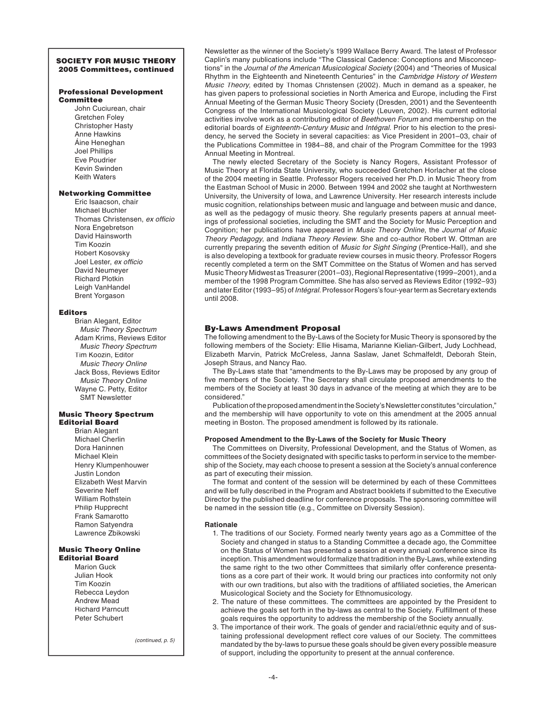## SOCIETY FOR MUSIC THEORY 2005 Committees, continued

## Professional Development **Committee**

John Cuciurean, chair Gretchen Foley Christopher Hasty Anne Hawkins Áine Heneghan Joel Phillips Eve Poudrier Kevin Swinden Keith Waters

# Networking Committee

Eric Isaacson, chair Michael Buchler Thomas Christensen, ex officio Nora Engebretson David Hainsworth Tim Koozin Robert Kosovsky Joel Lester, ex officio David Neumeyer Richard Plotkin Leigh VanHandel Brent Yorgason

#### Editors

Brian Alegant, Editor Music Theory Spectrum Adam Krims, Reviews Editor Music Theory Spectrum Tim Koozin, Editor Music Theory Online Jack Boss, Reviews Editor Music Theory Online Wayne C. Petty, Editor SMT Newsletter

#### Music Theory Spectrum Editorial Board

Brian Alegant Michael Cherlin Dora Haninnen Michael Klein Henry Klumpenhouwer Justin London Elizabeth West Marvin Severine Neff William Rothstein Philip Rupprecht Frank Samarotto Ramon Satyendra Lawrence Zbikowski

## Music Theory Online Editorial Board

Marion Guck Julian Hook Tim Koozin Rebecca Leydon Andrew Mead Richard Parncutt Peter Schubert

(continued, p. 5)

Newsletter as the winner of the Society's 1999 Wallace Berry Award. The latest of Professor Caplin's many publications include "The Classical Cadence: Conceptions and Misconceptions" in the Journal of the American Musicological Society (2004) and "Theories of Musical Rhythm in the Eighteenth and Nineteenth Centuries" in the Cambridge History of Western Music Theory, edited by Thomas Christensen (2002). Much in demand as a speaker, he has given papers to professional societies in North America and Europe, including the First Annual Meeting of the German Music Theory Society (Dresden, 2001) and the Seventeenth Congress of the International Musicological Society (Leuven, 2002). His current editorial activities involve work as a contributing editor of Beethoven Forum and membership on the editorial boards of Eighteenth-Century Musid and Intégral. Prior to his election to the presidency, he served the Society in several capacities: as Vice President in 2001–03, chair of the Publications Committee in 1984–88, and chair of the Program Committee for the 1993 Annual Meeting in Montreal.

 The newly elected Secretary of the Society is Nancy Rogers, Assistant Professor of Music Theory at Florida State University, who succeeded Gretchen Horlacher at the close of the 2004 meeting in Seattle. Professor Rogers received her Ph.D. in Music Theory from the Eastman School of Music in 2000. Between 1994 and 2002 she taught at Northwestern University, the University of Iowa, and Lawrence University. Her research interests include music cognition, relationships between music and language and between music and dance, as well as the pedagogy of music theory. She regularly presents papers at annual meetings of professional societies, including the SMT and the Society for Music Perception and Cognition; her publications have appeared in Music Theory Online, the Journal of Music Theory Pedagogy, and Indiana Theory Review. She and co-author Robert W. Ottman are currently preparing the seventh edition of Music for Sight Singing (Prentice-Hall), and she is also developing a textbook for graduate review courses in music theory. Professor Rogers recently completed a term on the SMT Committee on the Status of Women and has served Music Theory Midwest as Treasurer (2001–03), Regional Representative (1999–2001), and a member of the 1998 Program Committee. She has also served as Reviews Editor (1992–93) and later Editor (1993–95) of Intégral. Professor Rogers's four-year term as Secretary extends until 2008.

## By-Laws Amendment Proposal

The following amendment to the By-Laws of the Society for Music Theory is sponsored by the following members of the Society: Ellie Hisama, Marianne Kielian-Gilbert, Judy Lochhead, Elizabeth Marvin, Patrick McCreless, Janna Saslaw, Janet Schmalfeldt, Deborah Stein, Joseph Straus, and Nancy Rao.

 The By-Laws state that "amendments to the By-Laws may be proposed by any group of five members of the Society. The Secretary shall circulate proposed amendments to the members of the Society at least 30 days in advance of the meeting at which they are to be considered."

 Publication of the proposed amendment in the Society's Newsletter constitutes "circulation," and the membership will have opportunity to vote on this amendment at the 2005 annual meeting in Boston. The proposed amendment is followed by its rationale.

## **Proposed Amendment to the By-Laws of the Society for Music Theory**

 The Committees on Diversity, Professional Development, and the Status of Women, as committees of the Society designated with specific tasks to perform in service to the membership of the Society, may each choose to present a session at the Society's annual conference as part of executing their mission.

 The format and content of the session will be determined by each of these Committees and will be fully described in the Program and Abstract booklets if submitted to the Executive Director by the published deadline for conference proposals. The sponsoring committee will be named in the session title (e.g., Committee on Diversity Session).

#### **Rationale**

- 1. The traditions of our Society. Formed nearly twenty years ago as a Committee of the Society and changed in status to a Standing Committee a decade ago, the Committee on the Status of Women has presented a session at every annual conference since its inception. This amendment would formalize that tradition in the By-Laws, while extending the same right to the two other Committees that similarly offer conference presentations as a core part of their work. It would bring our practices into conformity not only with our own traditions, but also with the traditions of affiliated societies, the American Musicological Society and the Society for Ethnomusicology.
- 2. The nature of these committees. The committees are appointed by the President to achieve the goals set forth in the by-laws as central to the Society. Fulfillment of these goals requires the opportunity to address the membership of the Society annually.
- 3. The importance of their work. The goals of gender and racial/ethnic equity and of sustaining professional development reflect core values of our Society. The committees mandated by the by-laws to pursue these goals should be given every possible measure of support, including the opportunity to present at the annual conference.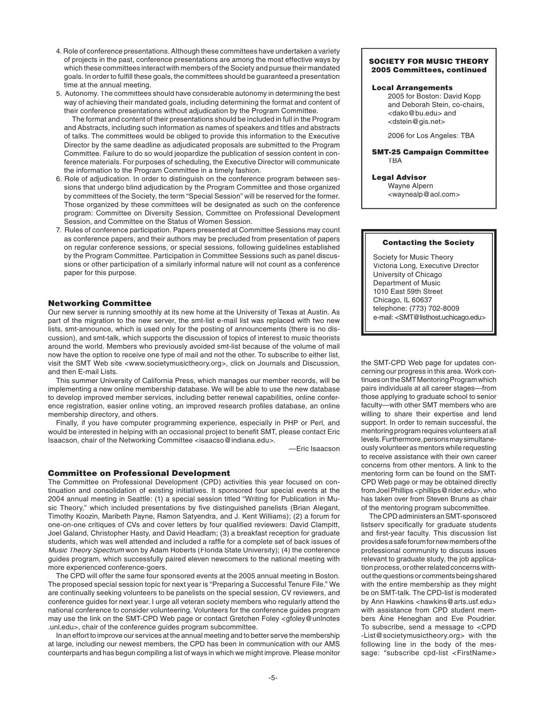- 4. Role of conference presentations. Although these committees have undertaken a variety of projects in the past, conference presentations are among the most effective ways by which these committees interact with members of the Society and pursue their mandated goals. In order to fulfill these goals, the committees should be guaranteed a presentation time at the annual meeting.
- 5. Autonomy. The committees should have considerable autonomy in determining the best way of achieving their mandated goals, including determining the format and content of their conference presentations without adjudication by the Program Committee.

 The format and content of their presentations should be included in full in the Program and Abstracts, including such information as names of speakers and titles and abstracts of talks. The committees would be obliged to provide this information to the Executive Director by the same deadline as adjudicated proposals are submitted to the Program Committee. Failure to do so would jeopardize the publication of session content in conference materials. For purposes of scheduling, the Executive Director will communicate the information to the Program Committee in a timely fashion.

- 6. Role of adjudication. In order to distinguish on the conference program between sessions that undergo blind adjudication by the Program Committee and those organized by committees of the Society, the term "Special Session" will be reserved for the former. Those organized by these committees will be designated as such on the conference program: Committee on Diversity Session, Committee on Professional Development Session, and Committee on the Status of Women Session.
- 7. Rules of conference participation. Papers presented at Committee Sessions may count as conference papers, and their authors may be precluded from presentation of papers on regular conference sessions, or special sessions, following guidelines established by the Program Committee. Participation in Committee Sessions such as panel discussions or other participation of a similarly informal nature will not count as a conference paper for this purpose.

## Networking Committee

Our new server is running smoothly at its new home at the University of Texas at Austin. As part of the migration to the new server, the smt-list e-mail list was replaced with two new lists, smt-announce, which is used only for the posting of announcements (there is no discussion), and smt-talk, which supports the discussion of topics of interest to music theorists around the world. Members who previously avoided smt-list because of the volume of mail now have the option to receive one type of mail and not the other. To subscribe to either list, visit the SMT Web site <www.societymusictheory.org>, click on Journals and Discussion, and then E-mail Lists.

 This summer University of California Press, which manages our member records, will be implementing a new online membership database. We will be able to use the new database to develop improved member services, including better renewal capabilities, online conference registration, easier online voting, an improved research profiles database, an online membership directory, and others.

 Finally, if you have computer programming experience, especially in PHP or Perl, and would be interested in helping with an occasional project to benefit SMT, please contact Eric Isaacson, chair of the Networking Committee <isaacso@indiana.edu>.

—Eric Isaacson

# Committee on Professional Development

The Committee on Professional Development (CPD) activities this year focused on continuation and consolidation of existing initiatives. It sponsored four special events at the 2004 annual meeting in Seattle: (1) a special session titled "Writing for Publication in Music Theory," which included presentations by five distinguished panelists (Brian Alegant, Timothy Koozin, Maribeth Payne, Ramon Satyendra, and J. Kent Williams); (2) a forum for one-on-one critiques of CVs and cover letters by four qualified reviewers: David Clampitt, Joel Galand, Christopher Hasty, and David Headlam; (3) a breakfast reception for graduate students, which was well attended and included a raffle for a complete set of back issues of Music Theory Spectrum won by Adam Roberts (Florida State University); (4) the conference guides program, which successfully paired eleven newcomers to the national meeting with more experienced conference-goers.

 The CPD will offer the same four sponsored events at the 2005 annual meeting in Boston. The proposed special session topic for next year is "Preparing a Successful Tenure File." We are continually seeking volunteers to be panelists on the special session, CV reviewers, and conference guides for next year. I urge all veteran society members who regularly attend the national conference to consider volunteering. Volunteers for the conference guides program may use the link on the SMT-CPD Web page or contact Gretchen Foley <gfoley@unlnotes .unl.edu>, chair of the conference guides program subcommittee.

 In an effort to improve our services at the annual meeting and to better serve the membership at large, including our newest members, the CPD has been in communication with our AMS counterparts and has begun compiling a list of ways in which we might improve. Please monitor

## SOCIETY FOR MUSIC THEORY 2005 Committees, continued

## Local Arrangements

2005 for Boston: David Kopp and Deborah Stein, co-chairs, <dako@bu.edu> and <dstein@gis.net>

2006 for Los Angeles: TBA

#### SMT-25 Campaign Committee TBA

## Legal Advisor

Wayne Alpern <waynealp@aol.com>

#### Contacting the Society

Society for Music Theory Victoria Long, Executive Director University of Chicago Department of Music 1010 East 59th Street Chicago, IL 60637 telephone: (773) 702-8009 e-mail: <SMT@listhost.uchicago.edu>

the SMT-CPD Web page for updates concerning our progress in this area. Work continues on the SMT Mentoring Program which pairs individuals at all career stages—from those applying to graduate school to senior faculty—with other SMT members who are willing to share their expertise and lend support. In order to remain successful, the mentoring program requires volunteers at all levels. Furthermore, persons may simultaneously volunteer as mentors while requesting to receive assistance with their own career concerns from other mentors. A link to the mentoring form can be found on the SMT-CPD Web page or may be obtained directly from Joel Phillips <phillips@rider.edu>, who has taken over from Steven Bruns as chair of the mentoring program subcommittee.

 The CPD administers an SMT-sponsored listserv specifically for graduate students and first-year faculty. This discussion list provides a safe forum for new members of the professional community to discuss issues relevant to graduate study, the job application process, or other related concerns without the questions or comments being shared with the entire membership as they might be on SMT-talk. The CPD-list is moderated by Ann Hawkins <hawkins@arts.usf.edu> with assistance from CPD student members Áine Heneghan and Eve Poudrier. To subscribe, send a message to <CPD -List@societymusictheory.org> with the following line in the body of the message: "subscribe cpd-list <FirstName>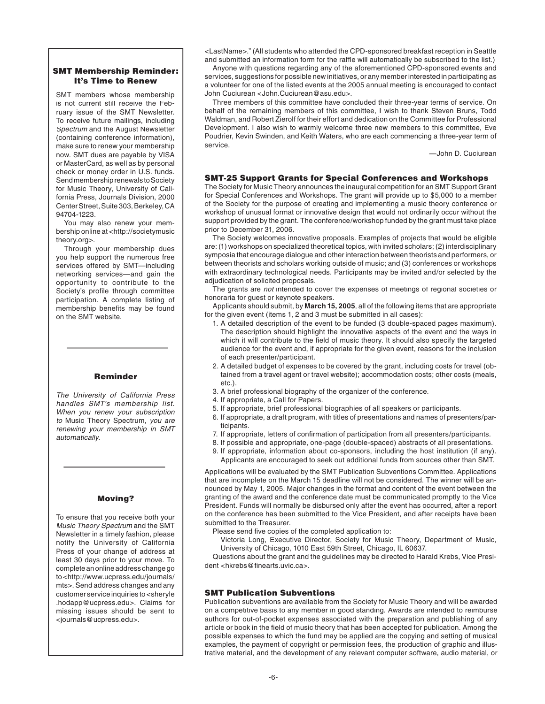## SMT Membership Reminder: It's Time to Renew

SMT members whose membership is not current still receive the February issue of the SMT Newsletter. To receive future mailings, including Spectrum and the August Newsletter (containing conference information), make sure to renew your membership now. SMT dues are payable by VISA or MasterCard, as well as by personal check or money order in U.S. funds. Send membership renewals to Society for Music Theory, University of California Press, Journals Division, 2000 Center Street, Suite 303, Berkeley, CA 94704-1223.

 You may also renew your membership online at <http://societymusic theory.org>.

 Through your membership dues you help support the numerous free services offered by SMT—including networking services—and gain the opportunity to contribute to the Society's profile through committee participation. A complete listing of membership benefits may be found on the SMT website.

# Reminder

The University of California Press handles SMT's membership list. When you renew your subscription to Music Theory Spectrum, you are renewing your membership in SMT automatically.

# Moving?

To ensure that you receive both your Music Theory Spectrum and the SMT Newsletter in a timely fashion, please notify the University of California Press of your change of address at least 30 days prior to your move. To complete an online address change go to <http://www.ucpress.edu/journals/ mts>. Send address changes and any customer service inquiries to <sheryle .hodapp@ucpress.edu>. Claims for missing issues should be sent to <journals@ucpress.edu>.

<LastName>." (All students who attended the CPD-sponsored breakfast reception in Seattle and submitted an information form for the raffle will automatically be subscribed to the list.)

 Anyone with questions regarding any of the aforementioned CPD-sponsored events and services, suggestions for possible new initiatives, or any member interested in participating as a volunteer for one of the listed events at the 2005 annual meeting is encouraged to contact John Cuciurean <John.Cuciurean@asu.edu>.

 Three members of this committee have concluded their three-year terms of service. On behalf of the remaining members of this committee, I wish to thank Steven Bruns, Todd Waldman, and Robert Zierolf for their effort and dedication on the Committee for Professional Development. I also wish to warmly welcome three new members to this committee, Eve Poudrier, Kevin Swinden, and Keith Waters, who are each commencing a three-year term of service.

—John D. Cuciurean

## SMT-25 Support Grants for Special Conferences and Workshops

The Society for Music Theory announces the inaugural competition for an SMT Support Grant for Special Conferences and Workshops. The grant will provide up to \$5,000 to a member of the Society for the purpose of creating and implementing a music theory conference or workshop of unusual format or innovative design that would not ordinarily occur without the support provided by the grant. The conference/workshop funded by the grant must take place prior to December 31, 2006.

 The Society welcomes innovative proposals. Examples of projects that would be eligible are: (1) workshops on specialized theoretical topics, with invited scholars; (2) interdisciplinary symposia that encourage dialogue and other interaction between theorists and performers, or between theorists and scholars working outside of music; and (3) conferences or workshops with extraordinary technological needs. Participants may be invited and/or selected by the adjudication of solicited proposals.

.<br>The grants are *not* intended to cover the expenses of meetings of regional societies or honoraria for guest or keynote speakers.

 Applicants should submit, by **March 15, 2005**, all of the following items that are appropriate for the given event (items 1, 2 and 3 must be submitted in all cases):

- 1. A detailed description of the event to be funded (3 double-spaced pages maximum). The description should highlight the innovative aspects of the event and the ways in which it will contribute to the field of music theory. It should also specify the targeted audience for the event and, if appropriate for the given event, reasons for the inclusion of each presenter/participant.
- 2. A detailed budget of expenses to be covered by the grant, including costs for travel (obtained from a travel agent or travel website); accommodation costs; other costs (meals, etc.).
- 3. A brief professional biography of the organizer of the conference.
- 4. If appropriate, a Call for Papers.
- 5. If appropriate, brief professional biographies of all speakers or participants.
- 6. If appropriate, a draft program, with titles of presentations and names of presenters/participants.
- 7. If appropriate, letters of confirmation of participation from all presenters/participants.
- 8. If possible and appropriate, one-page (double-spaced) abstracts of all presentations.
- 9. If appropriate, information about co-sponsors, including the host institution (if any). Applicants are encouraged to seek out additional funds from sources other than SMT.

Applications will be evaluated by the SMT Publication Subventions Committee. Applications that are incomplete on the March 15 deadline will not be considered. The winner will be announced by May 1, 2005. Major changes in the format and content of the event between the granting of the award and the conference date must be communicated promptly to the Vice President. Funds will normally be disbursed only after the event has occurred, after a report on the conference has been submitted to the Vice President, and after receipts have been submitted to the Treasurer.

Please send five copies of the completed application to:

 Victoria Long, Executive Director, Society for Music Theory, Department of Music, University of Chicago, 1010 East 59th Street, Chicago, IL 60637.

 Questions about the grant and the guidelines may be directed to Harald Krebs, Vice President <hkrebs@finearts.uvic.ca>.

# SMT Publication Subventions

Publication subventions are available from the Society for Music Theory and will be awarded on a competitive basis to any member in good standing. Awards are intended to reimburse authors for out-of-pocket expenses associated with the preparation and publishing of any article or book in the field of music theory that has been accepted for publication. Among the possible expenses to which the fund may be applied are the copying and setting of musical examples, the payment of copyright or permission fees, the production of graphic and illustrative material, and the development of any relevant computer software, audio material, or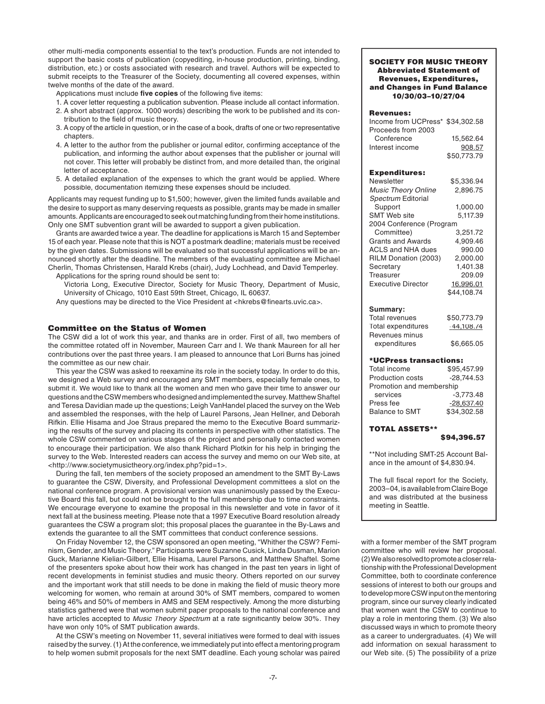other multi-media components essential to the text's production. Funds are not intended to support the basic costs of publication (copyediting, in-house production, printing, binding, distribution, etc.) or costs associated with research and travel. Authors will be expected to submit receipts to the Treasurer of the Society, documenting all covered expenses, within twelve months of the date of the award.

Applications must include five copies of the following five items:

- 1. A cover letter requesting a publication subvention. Please include all contact information.
- 2. A short abstract (approx. 1000 words) describing the work to be published and its contribution to the field of music theory.
- 3. A copy of the article in question, or in the case of a book, drafts of one or two representative chapters.
- 4. A letter to the author from the publisher or journal editor, confirming acceptance of the publication, and informing the author about expenses that the publisher or journal will not cover. This letter will probably be distinct from, and more detailed than, the original letter of acceptance.
- 5. A detailed explanation of the expenses to which the grant would be applied. Where possible, documentation itemizing these expenses should be included.

Applicants may request funding up to \$1,500; however, given the limited funds available and the desire to support as many deserving requests as possible, grants may be made in smaller amounts. Applicants are encouraged to seek out matching funding from their home institutions. Only one SMT subvention grant will be awarded to support a given publication.

 Grants are awarded twice a year. The deadline for applications is March 15 and September 15 of each year. Please note that this is NOT a postmark deadline; materials must be received by the given dates. Submissions will be evaluated so that successful applications will be announced shortly after the deadline. The members of the evaluating committee are Michael Cherlin, Thomas Christensen, Harald Krebs (chair), Judy Lochhead, and David Temperley. Applications for the spring round should be sent to:

 Victoria Long, Executive Director, Society for Music Theory, Department of Music, University of Chicago, 1010 East 59th Street, Chicago, IL 60637.

Any questions may be directed to the Vice President at <hkrebs@finearts.uvic.ca>.

## Committee on the Status of Women

The CSW did a lot of work this year, and thanks are in order. First of all, two members of the committee rotated off in November, Maureen Carr and I. We thank Maureen for all her contributions over the past three years. I am pleased to announce that Lori Burns has joined the committee as our new chair.

 This year the CSW was asked to reexamine its role in the society today. In order to do this, we designed a Web survey and encouraged any SMT members, especially female ones, to submit it. We would like to thank all the women and men who gave their time to answer our questions and the CSW members who designed and implemented the survey. Matthew Shaftel and Teresa Davidian made up the questions; Leigh VanHandel placed the survey on the Web and assembled the responses, with the help of Laurel Parsons, Jean Hellner, and Deborah Rifkin. Ellie Hisama and Joe Straus prepared the memo to the Executive Board summarizing the results of the survey and placing its contents in perspective with other statistics. The whole CSW commented on various stages of the project and personally contacted women to encourage their participation. We also thank Richard Plotkin for his help in bringing the survey to the Web. Interested readers can access the survey and memo on our Web site, at <http://www.societymusictheory.org/index.php?pid=1>.

 During the fall, ten members of the society proposed an amendment to the SMT By-Laws to guarantee the CSW, Diversity, and Professional Development committees a slot on the national conference program. A provisional version was unanimously passed by the Executive Board this fall, but could not be brought to the full membership due to time constraints. We encourage everyone to examine the proposal in this newsletter and vote in favor of it next fall at the business meeting. Please note that a 1997 Executive Board resolution already guarantees the CSW a program slot; this proposal places the guarantee in the By-Laws and extends the guarantee to all the SMT committees that conduct conference sessions.

 On Friday November 12, the CSW sponsored an open meeting, "Whither the CSW? Feminism, Gender, and Music Theory." Participants were Suzanne Cusick, Linda Dusman, Marion Guck, Marianne Kielian-Gilbert, Ellie Hisama, Laurel Parsons, and Matthew Shaftel. Some of the presenters spoke about how their work has changed in the past ten years in light of recent developments in feminist studies and music theory. Others reported on our survey and the important work that still needs to be done in making the field of music theory more welcoming for women, who remain at around 30% of SMT members, compared to women being 46% and 50% of members in AMS and SEM respectively. Among the more disturbing statistics gathered were that women submit paper proposals to the national conference and have articles accepted to Music Theory Spectrum at a rate significantly below 30%. They have won only 10% of SMT publication awards.

 At the CSW's meeting on November 11, several initiatives were formed to deal with issues raised by the survey. (1) At the conference, we immediately put into effect a mentoring program to help women submit proposals for the next SMT deadline. Each young scholar was paired

## SOCIETY FOR MUSIC THEORY Abbreviated Statement of Revenues, Expenditures, and Changes in Fund Balance 10/30/03–10/27/04

## Revenues:

| Income from UCPress* \$34,302.58 |             |
|----------------------------------|-------------|
| Proceeds from 2003               |             |
| Conference                       | 15.562.64   |
| Interest income                  | 908.57      |
|                                  | \$50,773.79 |

#### Expenditures:

| Newsletter                 | \$5.336.94  |
|----------------------------|-------------|
| <b>Music Theory Online</b> | 2,896.75    |
| Spectrum Editorial         |             |
| Support                    | 1.000.00    |
| <b>SMT Web site</b>        | 5,117.39    |
| 2004 Conference (Program   |             |
| Committee)                 | 3.251.72    |
| Grants and Awards          | 4.909.46    |
| ACLS and NHA dues          | 990.00      |
| RILM Donation (2003)       | 2.000.00    |
| Secretary                  | 1.401.38    |
| Treasurer                  | 209.09      |
| <b>Executive Director</b>  | 16.996.01   |
|                            | \$44.108.74 |
|                            |             |

#### **Summary:**

| Total revenues     | \$50,773.79  |
|--------------------|--------------|
| Total expenditures | $-44,108.74$ |
| Revenues minus     |              |
| expenditures       | \$6,665.05   |

#### \*UCPress transactions:

| Total income             | \$95,457.99  |  |
|--------------------------|--------------|--|
| <b>Production costs</b>  | $-28.744.53$ |  |
| Promotion and membership |              |  |
| services                 | $-3.773.48$  |  |
| Press fee                | $-28,637.40$ |  |
| <b>Balance to SMT</b>    | \$34,302.58  |  |

## TOTAL ASSETS\*\*

\$94,396.57

\*\*Not including SMT-25 Account Balance in the amount of \$4,830.94.

The full fiscal report for the Society, 2003–04, is available from Claire Boge and was distributed at the business meeting in Seattle.

with a former member of the SMT program committee who will review her proposal. (2) We also resolved to promote a closer relationship with the Professional Development Committee, both to coordinate conference sessions of interest to both our groups and to develop more CSW input on the mentoring program, since our survey clearly indicated that women want the CSW to continue to play a role in mentoring them. (3) We also discussed ways in which to promote theory as a career to undergraduates. (4) We will add information on sexual harassment to our Web site. (5) The possibility of a prize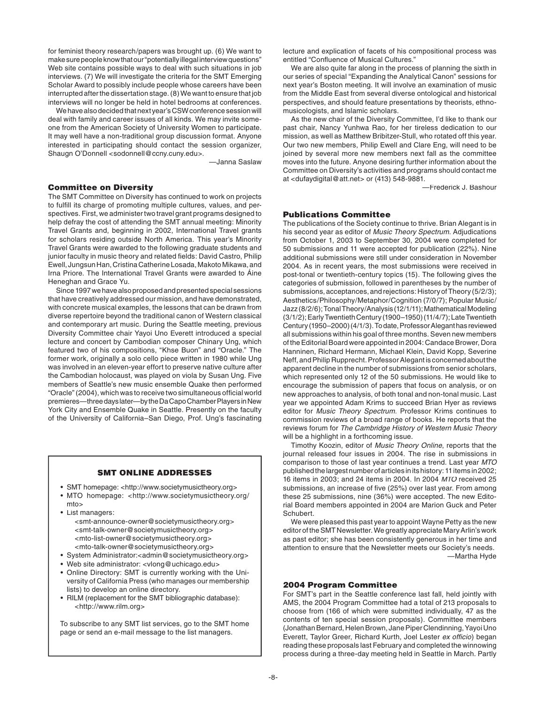for feminist theory research/papers was brought up. (6) We want to make sure people know that our "potentially illegal interview questions" Web site contains possible ways to deal with such situations in job interviews. (7) We will investigate the criteria for the SMT Emerging Scholar Award to possibly include people whose careers have been interrupted after the dissertation stage. (8) We want to ensure that job interviews will no longer be held in hotel bedrooms at conferences.

 We have also decided that next year's CSW conference session will deal with family and career issues of all kinds. We may invite someone from the American Society of University Women to participate. It may well have a non-traditional group discussion format. Anyone interested in participating should contact the session organizer, Shaugn O'Donnell <sodonnell@ccny.cuny.edu>.

—Janna Saslaw

## Committee on Diversity

The SMT Committee on Diversity has continued to work on projects to fulfill its charge of promoting multiple cultures, values, and perspectives. First, we administer two travel grant programs designed to help defray the cost of attending the SMT annual meeting: Minority Travel Grants and, beginning in 2002, International Travel grants for scholars residing outside North America. This year's Minority Travel Grants were awarded to the following graduate students and junior faculty in music theory and related fields: David Castro, Philip Ewell, Jungsun Han, Cristina Catherine Losada, Makoto Mikawa, and Irna Priore. The International Travel Grants were awarded to Áine Heneghan and Grace Yu.

 Since 1997 we have also proposed and presented special sessions that have creatively addressed our mission, and have demonstrated, with concrete musical examples, the lessons that can be drawn from diverse repertoire beyond the traditional canon of Western classical and contemporary art music. During the Seattle meeting, previous Diversity Committee chair Yayoi Uno Everett introduced a special lecture and concert by Cambodian composer Chinary Ung, which featured two of his compositions, "Khse Buon" and "Oracle." The former work, originally a solo cello piece written in 1980 while Ung was involved in an eleven-year effort to preserve native culture after the Cambodian holocaust, was played on viola by Susan Ung. Five members of Seattle's new music ensemble Quake then performed "Oracle" (2004), which was to receive two simultaneous official world premieres—three days later—by the Da Capo Chamber Players in New York City and Ensemble Quake in Seattle. Presently on the faculty of the University of California–San Diego, Prof. Ung's fascinating

## SMT ONLINE ADDRESSES

- SMT homepage: <http://www.societymusictheory.org>
- MTO homepage: <http://www.societymusictheory.org/ mto>
- List managers:

 <smt-announce-owner@societymusictheory.org> <smt-talk-owner@societymusictheory.org> <mto-list-owner@societymusictheory.org> <mto-talk-owner@societymusictheory.org>

- System Administrator:<admin@societymusictheory.org>
- Web site administrator: <vlong@uchicago.edu>
- Online Directory: SMT is currently working with the University of California Press (who manages our membership lists) to develop an online directory.
- RILM (replacement for the SMT bibliographic database): <http://www.rilm.org>

To subscribe to any SMT list services, go to the SMT home page or send an e-mail message to the list managers.

lecture and explication of facets of his compositional process was entitled "Confluence of Musical Cultures."

 We are also quite far along in the process of planning the sixth in our series of special "Expanding the Analytical Canon" sessions for next year's Boston meeting. It will involve an examination of music from the Middle East from several diverse ontological and historical perspectives, and should feature presentations by theorists, ethnomusicologists, and Islamic scholars.

 As the new chair of the Diversity Committee, I'd like to thank our past chair, Nancy Yunhwa Rao, for her tireless dedication to our mission, as well as Matthew Bribitzer-Stull, who rotated off this year. Our two new members, Philip Ewell and Clare Eng, will need to be joined by several more new members next fall as the committee moves into the future. Anyone desiring further information about the Committee on Diversity's activities and programs should contact me at <dufaydigital@att.net> or (413) 548-9881.

—Frederick J. Bashour

# Publications Committee

The publications of the Society continue to thrive. Brian Alegant is in his second year as editor of Music Theory Spectrum. Adjudications from October 1, 2003 to September 30, 2004 were completed for 50 submissions and 11 were accepted for publication (22%). Nine additional submissions were still under consideration in November 2004. As in recent years, the most submissions were received in post-tonal or twentieth-century topics (15). The following gives the categories of submission, followed in parentheses by the number of submissions, acceptances, and rejections: History of Theory (5/2/3); Aesthetics/Philosophy/Metaphor/Cognition (7/0/7); Popular Music/ Jazz (8/2/6); Tonal Theory/Analysis (12/1/11); Mathematical Modeling (3/1/2); Early Twentieth Century (1900–1950) (11/4/7); Late Twentieth Century (1950–2000) (4/1/3). To date, Professor Alegant has reviewed all submissions within his goal of three months. Seven new members of the Editorial Board were appointed in 2004: Candace Brower, Dora Hanninen, Richard Hermann, Michael Klein, David Kopp, Severine Neff, and Philip Rupprecht. Professor Alegant is concerned about the apparent decline in the number of submissions from senior scholars, which represented only 12 of the 50 submissions. He would like to encourage the submission of papers that focus on analysis, or on new approaches to analysis, of both tonal and non-tonal music. Last year we appointed Adam Krims to succeed Brian Hyer as reviews editor for Music Theory Spectrum. Professor Krims continues to commission reviews of a broad range of books. He reports that the reviews forum for The Cambridge History of Western Music Theory will be a highlight in a forthcoming issue.

 Timothy Koozin, editor of Music Theory Online, reports that the journal released four issues in 2004. The rise in submissions in comparison to those of last year continues a trend. Last year MTO published the largest number of articles in its history: 11 items in 2002; 16 items in 2003; and 24 items in 2004. In 2004 MTO received 25 submissions, an increase of five (25%) over last year. From among these 25 submissions, nine (36%) were accepted. The new Editorial Board members appointed in 2004 are Marion Guck and Peter Schubert.

 We were pleased this past year to appoint Wayne Petty as the new editor of the SMT Newsletter. We greatly appreciate Mary Arlin's work as past editor; she has been consistently generous in her time and attention to ensure that the Newsletter meets our Society's needs. —Martha Hyde

## 2004 Program Committee

For SMT's part in the Seattle conference last fall, held jointly with AMS, the 2004 Program Committee had a total of 213 proposals to choose from (166 of which were submitted individually, 47 as the contents of ten special session proposals). Committee members (Jonathan Bernard, Helen Brown, Jane Piper Clendinning, Yayoi Uno Everett, Taylor Greer, Richard Kurth, Joel Lester ex officio) began reading these proposals last February and completed the winnowing process during a three-day meeting held in Seattle in March. Partly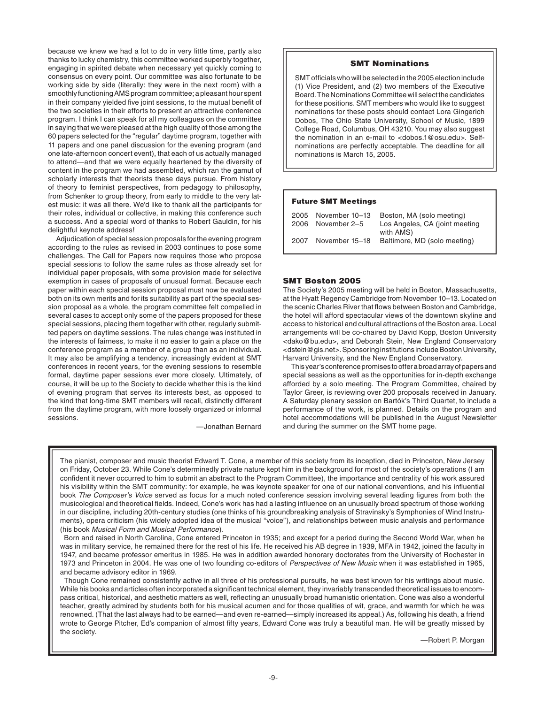because we knew we had a lot to do in very little time, partly also thanks to lucky chemistry, this committee worked superbly together, engaging in spirited debate when necessary yet quickly coming to consensus on every point. Our committee was also fortunate to be working side by side (literally: they were in the next room) with a smoothly functioning AMS program committee; a pleasant hour spent in their company yielded five joint sessions, to the mutual benefit of the two societies in their efforts to present an attractive conference program. I think I can speak for all my colleagues on the committee in saying that we were pleased at the high quality of those among the 60 papers selected for the "regular" daytime program, together with 11 papers and one panel discussion for the evening program (and one late-afternoon concert event), that each of us actually managed to attend—and that we were equally heartened by the diversity of content in the program we had assembled, which ran the gamut of scholarly interests that theorists these days pursue. From history of theory to feminist perspectives, from pedagogy to philosophy, from Schenker to group theory, from early to middle to the very latest music: it was all there. We'd like to thank all the participants for their roles, individual or collective, in making this conference such a success. And a special word of thanks to Robert Gauldin, for his delightful keynote address!

 Adjudication of special session proposals for the evening program according to the rules as revised in 2003 continues to pose some challenges. The Call for Papers now requires those who propose special sessions to follow the same rules as those already set for individual paper proposals, with some provision made for selective exemption in cases of proposals of unusual format. Because each paper within each special session proposal must now be evaluated both on its own merits and for its suitability as part of the special session proposal as a whole, the program committee felt compelled in several cases to accept only some of the papers proposed for these special sessions, placing them together with other, regularly submitted papers on daytime sessions. The rules change was instituted in the interests of fairness, to make it no easier to gain a place on the conference program as a member of a group than as an individual. It may also be amplifying a tendency, increasingly evident at SMT conferences in recent years, for the evening sessions to resemble formal, daytime paper sessions ever more closely. Ultimately, of course, it will be up to the Society to decide whether this is the kind of evening program that serves its interests best, as opposed to the kind that long-time SMT members will recall, distinctly different from the daytime program, with more loosely organized or informal sessions.

—Jonathan Bernard

## SMT Nominations

SMT officials who will be selected in the 2005 election include (1) Vice President, and (2) two members of the Executive Board. The Nominations Committee will select the candidates for these positions. SMT members who would like to suggest nominations for these posts should contact Lora Gingerich Dobos, The Ohio State University, School of Music, 1899 College Road, Columbus, OH 43210. You may also suggest the nomination in an e-mail to <dobos.1@osu.edu>. Selfnominations are perfectly acceptable. The deadline for all nominations is March 15, 2005.

#### Future SMT Meetings

| 2006 | 2005 November 10-13<br>November 2–5 | Boston, MA (solo meeting)<br>Los Angeles, CA (joint meeting |
|------|-------------------------------------|-------------------------------------------------------------|
| 2007 | November 15-18                      | with AMS)<br>Baltimore, MD (solo meeting)                   |

#### SMT Boston 2005

The Society's 2005 meeting will be held in Boston, Massachusetts, at the Hyatt Regency Cambridge from November 10–13. Located on the scenic Charles River that flows between Boston and Cambridge, the hotel will afford spectacular views of the downtown skyline and access to historical and cultural attractions of the Boston area. Local arrangements will be co-chaired by David Kopp, Boston University <dako@bu.edu>, and Deborah Stein, New England Conservatory <dstein@gis.net>. Sponsoring institutions include Boston University, Harvard University, and the New England Conservatory.

 This year's conference promises to offer a broad array of papers and special sessions as well as the opportunities for in-depth exchange afforded by a solo meeting. The Program Committee, chaired by Taylor Greer, is reviewing over 200 proposals received in January. A Saturday plenary session on Bartók's Third Quartet, to include a performance of the work, is planned. Details on the program and hotel accommodations will be published in the August Newsletter and during the summer on the SMT home page.

The pianist, composer and music theorist Edward T. Cone, a member of this society from its inception, died in Princeton, New Jersey on Friday, October 23. While Cone's determinedly private nature kept him in the background for most of the society's operations (I am confident it never occurred to him to submit an abstract to the Program Committee), the importance and centrality of his work assured his visibility within the SMT community: for example, he was keynote speaker for one of our national conventions, and his influential book The Composer's Voice served as focus for a much noted conference session involving several leading figures from both the musicological and theoretical fields. Indeed, Cone's work has had a lasting influence on an unusually broad spectrum of those working in our discipline, including 20th-century studies (one thinks of his groundbreaking analysis of Stravinsky's Symphonies of Wind Instruments), opera criticism (his widely adopted idea of the musical "voice"), and relationships between music analysis and performance (his book Musical Form and Musical Performance).

 Born and raised in North Carolina, Cone entered Princeton in 1935; and except for a period during the Second World War, when he was in military service, he remained there for the rest of his life. He received his AB degree in 1939, MFA in 1942, joined the faculty in 1947, and became professor emeritus in 1985. He was in addition awarded honorary doctorates from the University of Rochester in 1973 and Princeton in 2004. He was one of two founding co-editors of Perspectives of New Music when it was established in 1965, and became advisory editor in 1969.

 Though Cone remained consistently active in all three of his professional pursuits, he was best known for his writings about music. While his books and articles often incorporated a significant technical element, they invariably transcended theoretical issues to encompass critical, historical, and aesthetic matters as well, reflecting an unusually broad humanistic orientation. Cone was also a wonderful teacher, greatly admired by students both for his musical acumen and for those qualities of wit, grace, and warmth for which he was renowned. (That the last always had to be earned—and even re-earned—simply increased its appeal.) As, following his death, a friend wrote to George Pitcher, Ed's companion of almost fifty years, Edward Cone was truly a beautiful man. He will be greatly missed by the society.

—Robert P. Morgan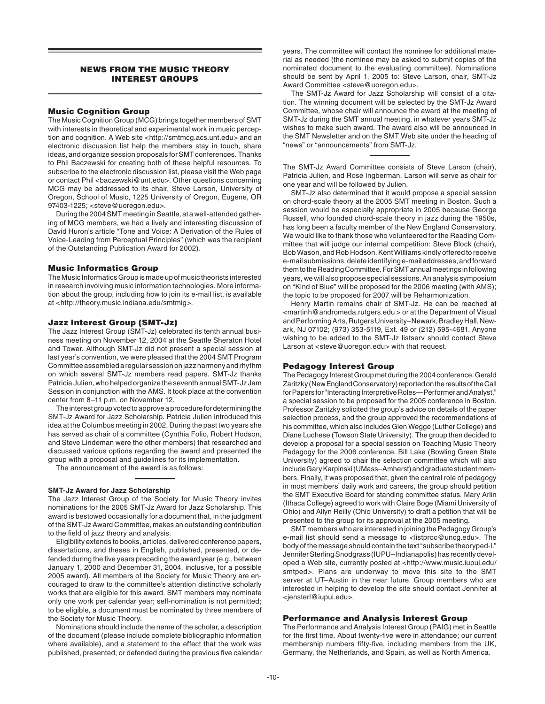# NEWS FROM THE MUSIC THEORY INTEREST GROUPS

## Music Cognition Group

The Music Cognition Group (MCG) brings together members of SMT with interests in theoretical and experimental work in music perception and cognition. A Web site <http://smtmcg.acs.unt.edu> and an electronic discussion list help the members stay in touch, share ideas, and organize session proposals for SMT conferences. Thanks to Phil Baczewski for creating both of these helpful resources. To subscribe to the electronic discussion list, please visit the Web page or contact Phil <br/>baczewski@unt.edu>. Other questions concerning MCG may be addressed to its chair, Steve Larson, University of Oregon, School of Music, 1225 University of Oregon, Eugene, OR 97403-1225; <steve@uoregon.edu>.

 During the 2004 SMT meeting in Seattle, at a well-attended gathering of MCG members, we had a lively and interesting discussion of David Huron's article "Tone and Voice: A Derivation of the Rules of Voice-Leading from Perceptual Principles" (which was the recipient of the Outstanding Publication Award for 2002).

## Music Informatics Group

The Music Informatics Group is made up of music theorists interested in research involving music information technologies. More information about the group, including how to join its e-mail list, is available at <http://theory.music.indiana.edu/smtmig>.

#### Jazz Interest Group (SMT-Jz)

The Jazz Interest Group (SMT-Jz) celebrated its tenth annual business meeting on November 12, 2004 at the Seattle Sheraton Hotel and Tower. Although SMT-Jz did not present a special session at last year's convention, we were pleased that the 2004 SMT Program Committee assembled a regular session on jazz harmony and rhythm on which several SMT-Jz members read papers. SMT-Jz thanks Patricia Julien, who helped organize the seventh annual SMT-Jz Jam Session in conjunction with the AMS. It took place at the convention center from 8–11 p.m. on November 12.

 The interest group voted to approve a procedure for determining the SMT-Jz Award for Jazz Scholarship. Patricia Julien introduced this idea at the Columbus meeting in 2002. During the past two years she has served as chair of a committee (Cynthia Folio, Robert Hodson, and Steve Lindeman were the other members) that researched and discussed various options regarding the award and presented the group with a proposal and guidelines for its implementation.

The announcement of the award is as follows:

## **SMT-Jz Award for Jazz Scholarship**

The Jazz Interest Group of the Society for Music Theory invites nominations for the 2005 SMT-Jz Award for Jazz Scholarship. This award is bestowed occasionally for a document that, in the judgment of the SMT-Jz Award Committee, makes an outstanding contribution to the field of jazz theory and analysis.

 Eligibility extends to books, articles, delivered conference papers, dissertations, and theses in English, published, presented, or defended during the five years preceding the award year (e.g., between January 1, 2000 and December 31, 2004, inclusive, for a possible 2005 award). All members of the Society for Music Theory are encouraged to draw to the committee's attention distinctive scholarly works that are eligible for this award. SMT members may nominate only one work per calendar year; self-nomination is not permitted; to be eligible, a document must be nominated by three members of the Society for Music Theory.

 Nominations should include the name of the scholar, a description of the document (please include complete bibliographic information where available), and a statement to the effect that the work was published, presented, or defended during the previous five calendar

years. The committee will contact the nominee for additional material as needed (the nominee may be asked to submit copies of the nominated document to the evaluating committee). Nominations should be sent by April 1, 2005 to: Steve Larson, chair, SMT-Jz Award Committee <steve@uoregon.edu>.

 The SMT-Jz Award for Jazz Scholarship will consist of a citation. The winning document will be selected by the SMT-Jz Award Committee, whose chair will announce the award at the meeting of SMT-Jz during the SMT annual meeting, in whatever years SMT-Jz wishes to make such award. The award also will be announced in the SMT Newsletter and on the SMT Web site under the heading of "news" or "announcements" from SMT-Jz.

The SMT-Jz Award Committee consists of Steve Larson (chair), Patricia Julien, and Rose Ingberman. Larson will serve as chair for one year and will be followed by Julien.

 SMT-Jz also determined that it would propose a special session on chord-scale theory at the 2005 SMT meeting in Boston. Such a session would be especially appropriate in 2005 because George Russell, who founded chord-scale theory in jazz during the 1950s, has long been a faculty member of the New England Conservatory. We would like to thank those who volunteered for the Reading Committee that will judge our internal competition: Steve Block (chair), Bob Wason, and Rob Hodson. Kent Williams kindly offered to receive e-mail submissions, delete identifying e-mail addresses, and forward them to the Reading Committee. For SMT annual meetings in following years, we will also propose special sessions. An analysis symposium on "Kind of Blue" will be proposed for the 2006 meeting (with AMS); the topic to be proposed for 2007 will be Reharmonization.

 Henry Martin remains chair of SMT-Jz. He can be reached at <martinh@andromeda.rutgers.edu > or at the Department of Visual and Performing Arts, Rutgers University–Newark, Bradley Hall, Newark, NJ 07102; (973) 353-5119, Ext. 49 or (212) 595-4681. Anyone wishing to be added to the SMT-Jz listserv should contact Steve Larson at <steve@uoregon.edu> with that request.

## Pedagogy Interest Group

The Pedagogy Interest Group met during the 2004 conference. Gerald Zaritzky (New England Conservatory) reported on the results of the Call for Papers for "Interacting Interpretive Roles—Performer and Analyst," a special session to be proposed for the 2005 conference in Boston. Professor Zaritzky solicited the group's advice on details of the paper selection process, and the group approved the recommendations of his committee, which also includes Glen Wegge (Luther College) and Diane Luchese (Towson State University). The group then decided to develop a proposal for a special session on Teaching Music Theory Pedagogy for the 2006 conference. Bill Lake (Bowling Green State University) agreed to chair the selection committee which will also include Gary Karpinski (UMass–Amherst) and graduate student members. Finally, it was proposed that, given the central role of pedagogy in most members' daily work and careers, the group should petition the SMT Executive Board for standing committee status. Mary Arlin (Ithaca College) agreed to work with Claire Boge (Miami University of Ohio) and Allyn Reilly (Ohio University) to draft a petition that will be presented to the group for its approval at the 2005 meeting.

 SMT members who are interested in joining the Pedagogy Group's e-mail list should send a message to <listproc@uncg.edu>. The body of the message should contain the text "subscribe theoryped-l." Jennifer Sterling Snodgrass (IUPU–Indianapolis) has recently developed a Web site, currently posted at <http://www.music.iupui.edu/ smtped>. Plans are underway to move this site to the SMT server at UT–Austin in the near future. Group members who are interested in helping to develop the site should contact Jennifer at <jensterl@iupui.edu>.

#### Performance and Analysis Interest Group

The Performance and Analysis Interest Group (PAIG) met in Seattle for the first time. About twenty-five were in attendance; our current membership numbers fifty-five, including members from the UK, Germany, the Netherlands, and Spain, as well as North America.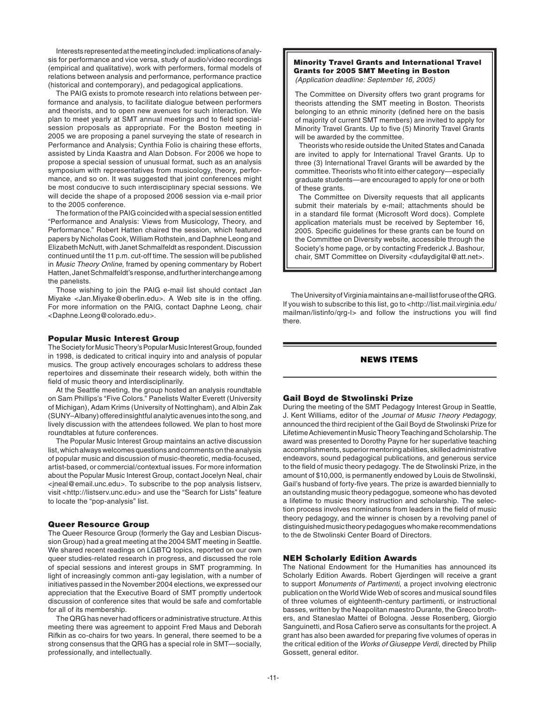Interests represented at the meeting included: implications of analysis for performance and vice versa, study of audio/video recordings (empirical and qualitative), work with performers, formal models of relations between analysis and performance, performance practice (historical and contemporary), and pedagogical applications.

 The PAIG exists to promote research into relations between performance and analysis, to facilitate dialogue between performers and theorists, and to open new avenues for such interaction. We plan to meet yearly at SMT annual meetings and to field specialsession proposals as appropriate. For the Boston meeting in 2005 we are proposing a panel surveying the state of research in Performance and Analysis; Cynthia Folio is chairing these efforts, assisted by Linda Kaastra and Alan Dobson. For 2006 we hope to propose a special session of unusual format, such as an analysis symposium with representatives from musicology, theory, performance, and so on. It was suggested that joint conferences might be most conducive to such interdisciplinary special sessions. We will decide the shape of a proposed 2006 session via e-mail prior to the 2005 conference.

 The formation of the PAIG coincided with a special session entitled "Performance and Analysis: Views from Musicology, Theory, and Performance." Robert Hatten chaired the session, which featured papers by Nicholas Cook, William Rothstein, and Daphne Leong and Elizabeth McNutt, with Janet Schmalfeldt as respondent. Discussion continued until the 11 p.m. cut-off time. The session will be published in Music Theory Online, framed by opening commentary by Robert Hatten, Janet Schmalfeldt's response, and further interchange among the panelists.

 Those wishing to join the PAIG e-mail list should contact Jan Miyake <Jan.Miyake@oberlin.edu>. A Web site is in the offing. For more information on the PAIG, contact Daphne Leong, chair <Daphne.Leong@colorado.edu>.

## Popular Music Interest Group

The Society for Music Theory's Popular Music Interest Group, founded in 1998, is dedicated to critical inquiry into and analysis of popular musics. The group actively encourages scholars to address these repertoires and disseminate their research widely, both within the field of music theory and interdisciplinarily.

 At the Seattle meeting, the group hosted an analysis roundtable on Sam Phillips's "Five Colors." Panelists Walter Everett (University of Michigan), Adam Krims (University of Nottingham), and Albin Zak (SUNY–Albany) offered insightful analytic avenues into the song, and lively discussion with the attendees followed. We plan to host more roundtables at future conferences.

 The Popular Music Interest Group maintains an active discussion list, which always welcomes questions and comments on the analysis of popular music and discussion of music-theoretic, media-focused, artist-based, or commercial/contextual issues. For more information about the Popular Music Interest Group, contact Jocelyn Neal, chair <jneal@email.unc.edu>. To subscribe to the pop analysis listserv, visit <http://listserv.unc.edu> and use the "Search for Lists" feature to locate the "pop-analysis" list.

## Queer Resource Group

The Queer Resource Group (formerly the Gay and Lesbian Discussion Group) had a great meeting at the 2004 SMT meeting in Seattle. We shared recent readings on LGBTQ topics, reported on our own queer studies-related research in progress, and discussed the role of special sessions and interest groups in SMT programming. In light of increasingly common anti-gay legislation, with a number of initiatives passed in the November 2004 elections, we expressed our appreciation that the Executive Board of SMT promptly undertook discussion of conference sites that would be safe and comfortable for all of its membership.

The QRG has never had officers or administrative structure. At this meeting there was agreement to appoint Fred Maus and Deborah Rifkin as co-chairs for two years. In general, there seemed to be a strong consensus that the QRG has a special role in SMT—socially, professionally, and intellectually.

#### Minority Travel Grants and International Travel Grants for 2005 SMT Meeting in Boston (Application deadline: September 16, 2005)

The Committee on Diversity offers two grant programs for theorists attending the SMT meeting in Boston. Theorists belonging to an ethnic minority (defined here on the basis of majority of current SMT members) are invited to apply for Minority Travel Grants. Up to five (5) Minority Travel Grants will be awarded by the committee.

 Theorists who reside outside the United States and Canada are invited to apply for International Travel Grants. Up to three (3) International Travel Grants will be awarded by the committee. Theorists who fit into either category-especially graduate students—are encouraged to apply for one or both of these grants

 The Committee on Diversity requests that all applicants submit their materials by e-mail; attachments should be in a standard file format (Microsoft Word docs). Complete application materials must be received by September 16, 2005. Specific guidelines for these grants can be found on the Committee on Diversity website, accessible through the Society's home page, or by contacting Frederick J. Bashour, chair, SMT Committee on Diversity <dufaydigital@att.net>.

 The University of Virginia maintains an e-mail list for use of the QRG. If you wish to subscribe to this list, go to <http://list.mail.virginia.edu/ mailman/listinfo/qrg-l> and follow the instructions you will find there.

# NEWS ITEMS

#### Gail Boyd de Stwolinski Prize

During the meeting of the SMT Pedagogy Interest Group in Seattle, J. Kent Williams, editor of the Journal of Music Theory Pedagogy, announced the third recipient of the Gail Boyd de Stwolinski Prize for Lifetime Achievement in Music Theory Teaching and Scholarship. The award was presented to Dorothy Payne for her superlative teaching accomplishments, superior mentoring abilities, skilled administrative endeavors, sound pedagogical publications, and generous service to the field of music theory pedagogy. The de Stwolinski Prize, in the amount of \$10,000, is permanently endowed by Louis de Stwolinski, Gail's husband of forty-five years. The prize is awarded biennially to an outstanding music theory pedagogue, someone who has devoted a lifetime to music theory instruction and scholarship. The selection process involves nominations from leaders in the field of music theory pedagogy, and the winner is chosen by a revolving panel of distinguished music theory pedagogues who make recommendations to the de Stwolinski Center Board of Directors.

## NEH Scholarly Edition Awards

The National Endowment for the Humanities has announced its Scholarly Edition Awards. Robert Gjerdingen will receive a grant to support Monuments of Partimenti, a project involving electronic publication on the World Wide Web of scores and musical sound files of three volumes of eighteenth-century partimenti, or instructional basses, written by the Neapolitan maestro Durante, the Greco brothers, and Staneslao Mattei of Bologna. Jesse Rosenberg, Giorgio Sanguinetti, and Rosa Cafiero serve as consultants for the project. A grant has also been awarded for preparing five volumes of operas in the critical edition of the Works of Giuseppe Verdi, directed by Philip Gossett, general editor.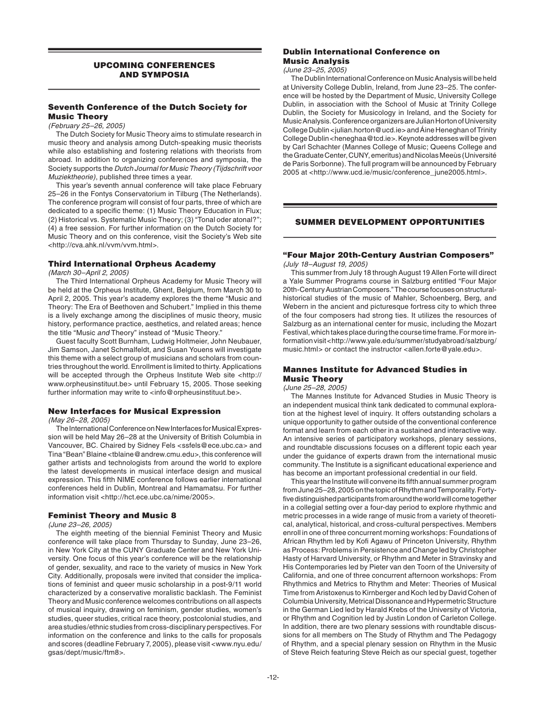## UPCOMING CONFERENCES AND SYMPOSIA

## Seventh Conference of the Dutch Society for Music Theory

(February 25–26, 2005)

 The Dutch Society for Music Theory aims to stimulate research in music theory and analysis among Dutch-speaking music theorists while also establishing and fostering relations with theorists from abroad. In addition to organizing conferences and symposia, the Society supports the Dutch Journal for Music Theory (Tijdschrift voor Muziektheorie), published three times a year.

 This year's seventh annual conference will take place February 25–26 in the Fontys Conservatorium in Tilburg (The Netherlands). The conference program will consist of four parts, three of which are dedicated to a specific theme: (1) Music Theory Education in Flux; (2) Historical vs. Systematic Music Theory; (3) "Tonal oder atonal?"; (4) a free session. For further information on the Dutch Society for Music Theory and on this conference, visit the Society's Web site <http://cva.ahk.nl/vvm/vvm.html>.

## Third International Orpheus Academy

(March 30–April 2, 2005)

The Third International Orpheus Academy for Music Theory will be held at the Orpheus Institute, Ghent, Belgium, from March 30 to April 2, 2005. This year's academy explores the theme "Music and Theory: The Era of Beethoven and Schubert." Implied in this theme is a lively exchange among the disciplines of music theory, music history, performance practice, aesthetics, and related areas; hence the title "Music and Theory" instead of "Music Theory."

 Guest faculty Scott Burnham, Ludwig Holtmeier, John Neubauer, Jim Samson, Janet Schmalfeldt, and Susan Youens will investigate this theme with a select group of musicians and scholars from countries throughout the world. Enrollment is limited to thirty. Applications will be accepted through the Orpheus Institute Web site <http:// www.orpheusinstituut.be> until February 15, 2005. Those seeking further information may write to <info@orpheusinstituut.be>.

## New Interfaces for Musical Expression

(May 26–28, 2005)

 The International Conference on New Interfaces for Musical Expression will be held May 26–28 at the University of British Columbia in Vancouver, BC. Chaired by Sidney Fels <ssfels@ece.ubc.ca> and Tina "Bean" Blaine <tblaine@andrew.cmu.edu>, this conference will gather artists and technologists from around the world to explore the latest developments in musical interface design and musical expression. This fifth NIME conference follows earlier international conferences held in Dublin, Montreal and Hamamatsu. For further information visit <http://hct.ece.ubc.ca/nime/2005>.

#### Feminist Theory and Music 8

(June 23–26, 2005)

 The eighth meeting of the biennial Feminist Theory and Music conference will take place from Thursday to Sunday, June 23–26, in New York City at the CUNY Graduate Center and New York University. One focus of this year's conference will be the relationship of gender, sexuality, and race to the variety of musics in New York City. Additionally, proposals were invited that consider the implications of feminist and queer music scholarship in a post-9/11 world characterized by a conservative moralistic backlash. The Feminist Theory and Music conference welcomes contributions on all aspects of musical inquiry, drawing on feminism, gender studies, women's studies, queer studies, critical race theory, postcolonial studies, and area studies/ethnic studies from cross-disciplinary perspectives. For information on the conference and links to the calls for proposals and scores (deadline February 7, 2005), please visit <www.nyu.edu/ gsas/dept/music/ftm8>.

## Dublin International Conference on Music Analysis

#### (June 23–25, 2005)

 The Dublin International Conference on Music Analysis will be held at University College Dublin, Ireland, from June 23–25. The conference will be hosted by the Department of Music, University College Dublin, in association with the School of Music at Trinity College Dublin, the Society for Musicology in Ireland, and the Society for Music Analysis. Conference organizers are Julian Horton of University College Dublin <julian.horton@ucd.ie> and Áine Heneghan of Trinity College Dublin <heneghaa@tcd.ie>. Keynote addresses will be given by Carl Schachter (Mannes College of Music; Queens College and the Graduate Center, CUNY, emeritus) and Nicolas Meeùs (Université de Paris Sorbonne). The full program will be announced by February 2005 at <http://www.ucd.ie/music/conference\_june2005.html>.

## SUMMER DEVELOPMENT OPPORTUNITIES

# "Four Major 20th-Century Austrian Composers"

(July 18–August 19, 2005)

 This summer from July 18 through August 19 Allen Forte will direct a Yale Summer Programs course in Salzburg entitled "Four Major 20th-Century Austrian Composers." The course focuses on structuralhistorical studies of the music of Mahler, Schoenberg, Berg, and Webern in the ancient and picturesque fortress city to which three of the four composers had strong ties. It utilizes the resources of Salzburg as an international center for music, including the Mozart Festival, which takes place during the course time frame. For more information visit <http://www.yale.edu/summer/studyabroad/salzburg/ music.html> or contact the instructor <allen.forte@yale.edu>.

## Mannes Institute for Advanced Studies in Music Theory

(June 25–28, 2005)

 The Mannes Institute for Advanced Studies in Music Theory is an independent musical think tank dedicated to communal exploration at the highest level of inquiry. It offers outstanding scholars a unique opportunity to gather outside of the conventional conference format and learn from each other in a sustained and interactive way. An intensive series of participatory workshops, plenary sessions, and roundtable discussions focuses on a different topic each year under the guidance of experts drawn from the international music community. The Institute is a significant educational experience and has become an important professional credential in our field.

This year the Institute will convene its fifth annual summer program from June 25–28, 2005 on the topic of Rhythm and Temporality. Fortyfive distinguished participants from around the world will come together in a collegial setting over a four-day period to explore rhythmic and metric processes in a wide range of music from a variety of theoretical, analytical, historical, and cross-cultural perspectives. Members enroll in one of three concurrent morning workshops: Foundations of African Rhythm led by Kofi Agawu of Princeton University, Rhythm as Process: Problems in Persistence and Change led by Christopher Hasty of Harvard University, or Rhythm and Meter in Stravinsky and His Contemporaries led by Pieter van den Toorn of the University of California, and one of three concurrent afternoon workshops: From Rhythmics and Metrics to Rhythm and Meter: Theories of Musical Time from Aristoxenus to Kirnberger and Koch led by David Cohen of Columbia University, Metrical Dissonance and Hypermetric Structure in the German Lied led by Harald Krebs of the University of Victoria, or Rhythm and Cognition led by Justin London of Carleton College. In addition, there are two plenary sessions with roundtable discussions for all members on The Study of Rhythm and The Pedagogy of Rhythm, and a special plenary session on Rhythm in the Music of Steve Reich featuring Steve Reich as our special guest, together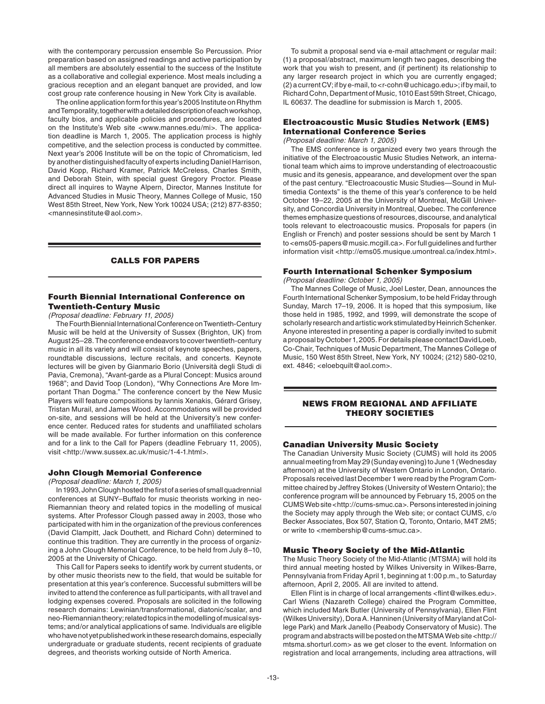with the contemporary percussion ensemble So Percussion. Prior preparation based on assigned readings and active participation by all members are absolutely essential to the success of the Institute as a collaborative and collegial experience. Most meals including a gracious reception and an elegant banquet are provided, and low cost group rate conference housing in New York City is available.

 The online application form for this year's 2005 Institute on Rhythm and Temporality, together with a detailed description of each workshop, faculty bios, and applicable policies and procedures, are located on the Institute's Web site <www.mannes.edu/mi>. The application deadline is March 1, 2005. The application process is highly competitive, and the selection process is conducted by committee. Next year's 2006 Institute will be on the topic of Chromaticism, led by another distinguished faculty of experts including Daniel Harrison, David Kopp, Richard Kramer, Patrick McCreless, Charles Smith, and Deborah Stein, with special guest Gregory Proctor. Please direct all inquires to Wayne Alpern, Director, Mannes Institute for Advanced Studies in Music Theory, Mannes College of Music, 150 West 85th Street, New York, New York 10024 USA; (212) 877-8350; <mannesinstitute@aol.com>.

## CALLS FOR PAPERS

## Fourth Biennial International Conference on Twentieth-Century Music

#### (Proposal deadline: February 11, 2005)

 The Fourth Biennial International Conference on Twentieth-Century Music will be held at the University of Sussex (Brighton, UK) from August 25–28. The conference endeavors to cover twentieth-century music in all its variety and will consist of keynote speeches, papers, roundtable discussions, lecture recitals, and concerts. Keynote lectures will be given by Gianmario Borio (Università degli Studi di Pavia, Cremona), "Avant-garde as a Plural Concept: Musics around 1968"; and David Toop (London), "Why Connections Are More Important Than Dogma." The conference concert by the New Music Players will feature compositions by Iannis Xenakis, Gérard Grisey, Tristan Murail, and James Wood. Accommodations will be provided on-site, and sessions will be held at the University's new conference center. Reduced rates for students and unaffiliated scholars will be made available. For further information on this conference and for a link to the Call for Papers (deadline February 11, 2005), visit <http://www.sussex.ac.uk/music/1-4-1.html>.

## John Clough Memorial Conference

(Proposal deadline: March 1, 2005)

In 1993, John Clough hosted the first of a series of small quadrennial conferences at SUNY–Buffalo for music theorists working in neo-Riemannian theory and related topics in the modelling of musical systems. After Professor Clough passed away in 2003, those who participated with him in the organization of the previous conferences (David Clampitt, Jack Douthett, and Richard Cohn) determined to continue this tradition. They are currently in the process of organizing a John Clough Memorial Conference, to be held from July 8–10, 2005 at the University of Chicago.

 This Call for Papers seeks to identify work by current students, or by other music theorists new to the field, that would be suitable for presentation at this year's conference. Successful submitters will be invited to attend the conference as full participants, with all travel and lodging expenses covered. Proposals are solicited in the following research domains: Lewinian/transformational, diatonic/scalar, and neo-Riemannian theory; related topics in the modelling of musical systems; and/or analytical applications of same. Individuals are eligible who have not yet published work in these research domains, especially undergraduate or graduate students, recent recipients of graduate degrees, and theorists working outside of North America.

 To submit a proposal send via e-mail attachment or regular mail: (1) a proposal/abstract, maximum length two pages, describing the work that you wish to present, and (if pertinent) its relationship to any larger research project in which you are currently engaged; (2) a current CV; if by e-mail, to <r-cohn@uchicago.edu>; if by mail, to Richard Cohn, Department of Music, 1010 East 59th Street, Chicago, IL 60637. The deadline for submission is March 1, 2005.

# Electroacoustic Music Studies Network (EMS) International Conference Series

(Proposal deadline: March 1, 2005)

 The EMS conference is organized every two years through the initiative of the Electroacoustic Music Studies Network, an international team which aims to improve understanding of electroacoustic music and its genesis, appearance, and development over the span of the past century. "Electroacoustic Music Studies—Sound in Multimedia Contexts" is the theme of this year's conference to be held October 19–22, 2005 at the University of Montreal, McGill University, and Concordia University in Montreal, Quebec. The conference themes emphasize questions of resources, discourse, and analytical tools relevant to electroacoustic musics. Proposals for papers (in English or French) and poster sessions should be sent by March 1 to <ems05-papers@music.mcgill.ca>. For full guidelines and further information visit <http://ems05.musique.umontreal.ca/index.html>.

#### Fourth International Schenker Symposium

(Proposal deadline: October 1, 2005)

 The Mannes College of Music, Joel Lester, Dean, announces the Fourth International Schenker Symposium, to be held Friday through Sunday, March 17–19, 2006. It is hoped that this symposium, like those held in 1985, 1992, and 1999, will demonstrate the scope of scholarly research and artistic work stimulated by Heinrich Schenker. Anyone interested in presenting a paper is cordially invited to submit a proposal by October 1, 2005. For details please contact David Loeb, Co-Chair, Techniques of Music Department, The Mannes College of Music, 150 West 85th Street, New York, NY 10024; (212) 580-0210, ext. 4846; <eloebquilt@aol.com>.

## NEWS FROM REGIONAL AND AFFILIATE THEORY SOCIETIES

# Canadian University Music Society

The Canadian University Music Society (CUMS) will hold its 2005 annual meeting from May 29 (Sunday evening) to June 1 (Wednesday afternoon) at the University of Western Ontario in London, Ontario. Proposals received last December 1 were read by the Program Committee chaired by Jeffrey Stokes (University of Western Ontario); the conference program will be announced by February 15, 2005 on the CUMS Web site <http://cums-smuc.ca>. Persons interested in joining the Society may apply through the Web site; or contact CUMS, c/o Becker Associates, Box 507, Station Q, Toronto, Ontario, M4T 2M5; or write to <membership@cums-smuc.ca>.

## Music Theory Society of the Mid-Atlantic

The Music Theory Society of the Mid-Atlantic (MTSMA) will hold its third annual meeting hosted by Wilkes University in Wilkes-Barre, Pennsylvania from Friday April 1, beginning at 1:00 p.m., to Saturday afternoon, April 2, 2005. All are invited to attend.

Ellen Flint is in charge of local arrangements <flint@wilkes.edu>. Carl Wiens (Nazareth College) chaired the Program Committee, which included Mark Butler (University of Pennsylvania), Ellen Flint (Wilkes University), Dora A. Hanninen (University of Maryland at College Park) and Mark Janello (Peabody Conservatory of Music). The program and abstracts will be posted on the MTSMA Web site <http:// mtsma.shorturl.com> as we get closer to the event. Information on registration and local arrangements, including area attractions, will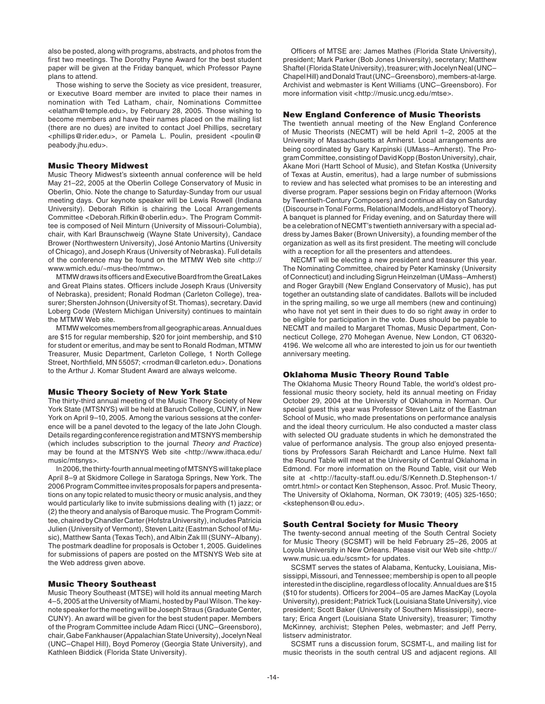also be posted, along with programs, abstracts, and photos from the first two meetings. The Dorothy Payne Award for the best student paper will be given at the Friday banquet, which Professor Payne plans to attend.

 Those wishing to serve the Society as vice president, treasurer, or Executive Board member are invited to place their names in nomination with Ted Latham, chair, Nominations Committee <elatham@temple.edu>, by February 28, 2005. Those wishing to become members and have their names placed on the mailing list (there are no dues) are invited to contact Joel Phillips, secretary <phillips@rider.edu>, or Pamela L. Poulin, president <poulin@ peabody.jhu.edu>.

## Music Theory Midwest

Music Theory Midwest's sixteenth annual conference will be held May 21–22, 2005 at the Oberlin College Conservatory of Music in Oberlin, Ohio. Note the change to Saturday-Sunday from our usual meeting days. Our keynote speaker will be Lewis Rowell (Indiana University). Deborah Rifkin is chairing the Local Arrangements Committee <Deborah.Rifkin@oberlin.edu>. The Program Committee is composed of Neil Minturn (University of Missouri-Columbia), chair, with Karl Braunschweig (Wayne State University), Candace Brower (Northwestern University), José Antonio Martins (University of Chicago), and Joseph Kraus (University of Nebraska). Full details of the conference may be found on the MTMW Web site <http:// www.wmich.edu/~mus-theo/mtmw>.

MTMW draws its officers and Executive Board from the Great Lakes and Great Plains states. Officers include Joseph Kraus (University of Nebraska), president; Ronald Rodman (Carleton College), treasurer; Shersten Johnson (University of St. Thomas), secretary. David Loberg Code (Western Michigan University) continues to maintain the MTMW Web site.

 MTMW welcomes members from all geographic areas. Annual dues are \$15 for regular membership, \$20 for joint membership, and \$10 for student or emeritus, and may be sent to Ronald Rodman, MTMW Treasurer, Music Department, Carleton College, 1 North College Street, Northfield, MN 55057; <rrodman@carleton.edu>. Donations to the Arthur J. Komar Student Award are always welcome.

## Music Theory Society of New York State

The thirty-third annual meeting of the Music Theory Society of New York State (MTSNYS) will be held at Baruch College, CUNY, in New York on April 9–10, 2005. Among the various sessions at the conference will be a panel devoted to the legacy of the late John Clough. Details regarding conference registration and MTSNYS membership (which includes subscription to the journal Theory and Practice) may be found at the MTSNYS Web site <http://www.ithaca.edu/ music/mtsnys>.

 In 2006, the thirty-fourth annual meeting of MTSNYS will take place April 8–9 at Skidmore College in Saratoga Springs, New York. The 2006 Program Committee invites proposals for papers and presentations on any topic related to music theory or music analysis, and they would particularly like to invite submissions dealing with (1) jazz; or (2) the theory and analysis of Baroque music. The Program Committee, chaired by Chandler Carter (Hofstra University), includes Patricia Julien (University of Vermont), Steven Laitz (Eastman School of Music), Matthew Santa (Texas Tech), and Albin Zak III (SUNY–Albany). The postmark deadline for proposals is October 1, 2005. Guidelines for submissions of papers are posted on the MTSNYS Web site at the Web address given above.

## Music Theory Southeast

Music Theory Southeast (MTSE) will hold its annual meeting March 4–5, 2005 at the University of Miami, hosted by Paul Wilson. The keynote speaker for the meeting will be Joseph Straus (Graduate Center, CUNY). An award will be given for the best student paper. Members of the Program Committee include Adam Ricci (UNC–Greensboro), chair, Gabe Fankhauser (Appalachian State University), Jocelyn Neal (UNC–Chapel Hill), Boyd Pomeroy (Georgia State University), and Kathleen Biddick (Florida State University).

Officers of MTSE are: James Mathes (Florida State University), president; Mark Parker (Bob Jones University), secretary; Matthew Shaftel (Florida State University), treasurer; with Jocelyn Neal (UNC– Chapel Hill) and Donald Traut (UNC–Greensboro), members-at-large. Archivist and webmaster is Kent Williams (UNC–Greensboro). For more information visit <http://music.uncg.edu/mtse>.

## New England Conference of Music Theorists

The twentieth annual meeting of the New England Conference of Music Theorists (NECMT) will be held April 1–2, 2005 at the University of Massachusetts at Amherst. Local arrangements are being coordinated by Gary Karpinski (UMass–Amherst). The Program Committee, consisting of David Kopp (Boston University), chair, Akane Mori (Hartt School of Music), and Stefan Kostka (University of Texas at Austin, emeritus), had a large number of submissions to review and has selected what promises to be an interesting and diverse program. Paper sessions begin on Friday afternoon (Works by Twentieth-Century Composers) and continue all day on Saturday (Discourse in Tonal Forms, Relational Models, and History of Theory). A banquet is planned for Friday evening, and on Saturday there will be a celebration of NECMT's twentieth anniversary with a special address by James Baker (Brown University), a founding member of the organization as well as its first president. The meeting will conclude with a reception for all the presenters and attendees.

 NECMT will be electing a new president and treasurer this year. The Nominating Committee, chaired by Peter Kaminsky (University of Connecticut) and including Sigrun Heinzelman (UMass–Amherst) and Roger Graybill (New England Conservatory of Music), has put together an outstanding slate of candidates. Ballots will be included in the spring mailing, so we urge all members (new and continuing) who have not yet sent in their dues to do so right away in order to be eligible for participation in the vote. Dues should be payable to NECMT and mailed to Margaret Thomas, Music Department, Connecticut College, 270 Mohegan Avenue, New London, CT 06320- 4196. We welcome all who are interested to join us for our twentieth anniversary meeting.

## Oklahoma Music Theory Round Table

The Oklahoma Music Theory Round Table, the world's oldest professional music theory society, held its annual meeting on Friday October 29, 2004 at the University of Oklahoma in Norman. Our special guest this year was Professor Steven Laitz of the Eastman School of Music, who made presentations on performance analysis and the ideal theory curriculum. He also conducted a master class with selected OU graduate students in which he demonstrated the value of performance analysis. The group also enjoyed presentations by Professors Sarah Reichardt and Lance Hulme. Next fall the Round Table will meet at the University of Central Oklahoma in Edmond. For more information on the Round Table, visit our Web site at <http://faculty-staff.ou.edu/S/Kenneth.D.Stephenson-1/ omtrt.html> or contact Ken Stephenson, Assoc. Prof. Music Theory, The University of Oklahoma, Norman, OK 73019; (405) 325-1650; <kstephenson@ou.edu>.

## South Central Society for Music Theory

The twenty-second annual meeting of the South Central Society for Music Theory (SCSMT) will be held February 25–26, 2005 at Loyola University in New Orleans. Please visit our Web site <http:// www.music.ua.edu/scsmt> for updates.

 SCSMT serves the states of Alabama, Kentucky, Louisiana, Mississippi, Missouri, and Tennessee; membership is open to all people interested in the discipline, regardless of locality. Annual dues are \$15 (\$10 for students). Officers for 2004–05 are James MacKay (Loyola University), president; Patrick Tuck (Louisiana State University), vice president; Scott Baker (University of Southern Mississippi), secretary; Erica Angert (Louisiana State University), treasurer; Timothy McKinney, archivist; Stephen Peles, webmaster; and Jeff Perry, listserv administrator.

 SCSMT runs a discussion forum, SCSMT-L, and mailing list for music theorists in the south central US and adjacent regions. All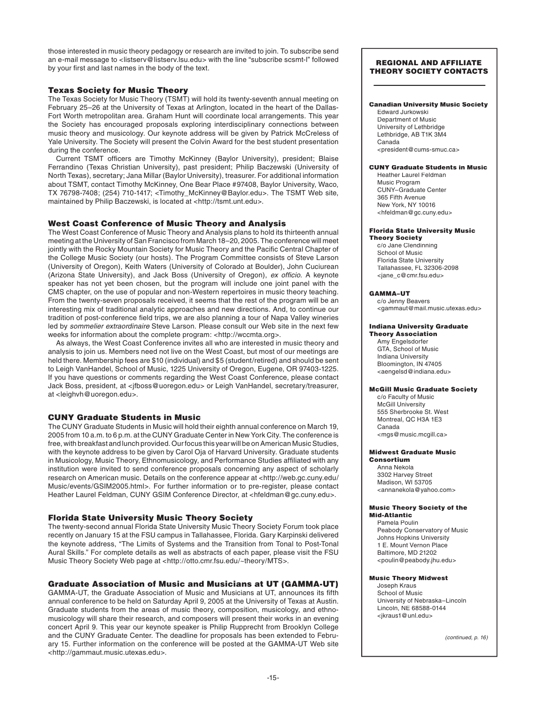those interested in music theory pedagogy or research are invited to join. To subscribe send an e-mail message to <listserv@listserv.lsu.edu> with the line "subscribe scsmt-l" followed by your first and last names in the body of the text.

## Texas Society for Music Theory

The Texas Society for Music Theory (TSMT) will hold its twenty-seventh annual meeting on February 25–26 at the University of Texas at Arlington, located in the heart of the Dallas-Fort Worth metropolitan area. Graham Hunt will coordinate local arrangements. This year the Society has encouraged proposals exploring interdisciplinary connections between music theory and musicology. Our keynote address will be given by Patrick McCreless of Yale University. The Society will present the Colvin Award for the best student presentation during the conference.

Current TSMT officers are Timothy McKinney (Baylor University), president; Blaise Ferrandino (Texas Christian University), past president; Philip Baczewski (University of North Texas), secretary; Jana Millar (Baylor University), treasurer. For additional information about TSMT, contact Timothy McKinney, One Bear Place #97408, Baylor University, Waco, TX 76798-7408; (254) 710-1417; <Timothy\_McKinney@Baylor.edu>. The TSMT Web site, maintained by Philip Baczewski, is located at <http://tsmt.unt.edu>.

## West Coast Conference of Music Theory and Analysis

The West Coast Conference of Music Theory and Analysis plans to hold its thirteenth annual meeting at the University of San Francisco from March 18–20, 2005. The conference will meet jointly with the Rocky Mountain Society for Music Theory and the Pacific Central Chapter of the College Music Society (our hosts). The Program Committee consists of Steve Larson (University of Oregon), Keith Waters (University of Colorado at Boulder), John Cuciurean (Arizona State University), and Jack Boss (University of Oregon), ex officio. A keynote speaker has not yet been chosen, but the program will include one joint panel with the CMS chapter, on the use of popular and non-Western repertoires in music theory teaching. From the twenty-seven proposals received, it seems that the rest of the program will be an interesting mix of traditional analytic approaches and new directions. And, to continue our tradition of post-conference field trips, we are also planning a tour of Napa Valley wineries led by sommelier extraordinaire Steve Larson. Please consult our Web site in the next few weeks for information about the complete program: <http://wccmta.org>.

 As always, the West Coast Conference invites all who are interested in music theory and analysis to join us. Members need not live on the West Coast, but most of our meetings are held there. Membership fees are \$10 (individual) and \$5 (student/retired) and should be sent to Leigh VanHandel, School of Music, 1225 University of Oregon, Eugene, OR 97403-1225. If you have questions or comments regarding the West Coast Conference, please contact Jack Boss, president, at <jfboss@uoregon.edu> or Leigh VanHandel, secretary/treasurer, at <leighvh@uoregon.edu>.

## CUNY Graduate Students in Music

The CUNY Graduate Students in Music will hold their eighth annual conference on March 19, 2005 from 10 a.m. to 6 p.m. at the CUNY Graduate Center in New York City. The conference is free, with breakfast and lunch provided. Our focus this year will be on American Music Studies, with the keynote address to be given by Carol Oja of Harvard University. Graduate students in Musicology, Music Theory, Ethnomusicology, and Performance Studies affiliated with any institution were invited to send conference proposals concerning any aspect of scholarly research on American music. Details on the conference appear at <http://web.gc.cuny.edu/ Music/events/GSIM2005.html>. For further information or to pre-register, please contact Heather Laurel Feldman, CUNY GSIM Conference Director, at <hfeldman@gc.cuny.edu>.

# Florida State University Music Theory Society

The twenty-second annual Florida State University Music Theory Society Forum took place recently on January 15 at the FSU campus in Tallahassee, Florida. Gary Karpinski delivered the keynote address, "The Limits of Systems and the Transition from Tonal to Post-Tonal Aural Skills." For complete details as well as abstracts of each paper, please visit the FSU Music Theory Society Web page at <http://otto.cmr.fsu.edu/~theory/MTS>.

# Graduate Association of Music and Musicians at UT (GAMMA-UT)

GAMMA-UT, the Graduate Association of Music and Musicians at UT, announces its fifth annual conference to be held on Saturday April 9, 2005 at the University of Texas at Austin. Graduate students from the areas of music theory, composition, musicology, and ethnomusicology will share their research, and composers will present their works in an evening concert April 9. This year our keynote speaker is Philip Rupprecht from Brooklyn College and the CUNY Graduate Center. The deadline for proposals has been extended to February 15. Further information on the conference will be posted at the GAMMA-UT Web site <http://gammaut.music.utexas.edu>.

## REGIONAL AND AFFILIATE THEORY SOCIETY CONTACTS

#### Canadian University Music Society

Edward Jurkowski Department of Music University of Lethbridge Lethbridge, AB T1K 3M4 Canada <president@cums-smuc.ca>

## CUNY Graduate Students in Music

Heather Laurel Feldman Music Program CUNY–Graduate Center 365 Fifth Avenue New York, NY 10016 <hfeldman@gc.cuny.edu>

#### Florida State University Music

Theory Society c/o Jane Clendinning School of Music Florida State University Tallahassee, FL 32306-2098 <jane\_c@cmr.fsu.edu>

#### GAMMA–UT

c/o Jenny Beavers <gammaut@mail.music.utexas.edu>

#### Indiana University Graduate Theory Association

Amy Engelsdorfer GTA, School of Music Indiana University Bloomington, IN 47405 <aengelsd@indiana.edu>

## McGill Music Graduate Society

c/o Faculty of Music McGill University 555 Sherbrooke St. West Montreal, QC H3A 1E3 Canada <mgs@music.mcgill.ca>

#### Midwest Graduate Music Consortium

Anna Nekola 3302 Harvey Street Madison, WI 53705 <annanekola@yahoo.com>

#### Music Theory Society of the Mid-Atlantic

Pamela Poulin Peabody Conservatory of Music Johns Hopkins University 1 E. Mount Vernon Place Baltimore, MD 21202 <poulin@peabody.jhu.edu>

#### Music Theory Midwest

Joseph Kraus School of Music University of Nebraska–Lincoln Lincoln, NE 68588-0144 <jkraus1@unl.edu>

(continued, p. 16)